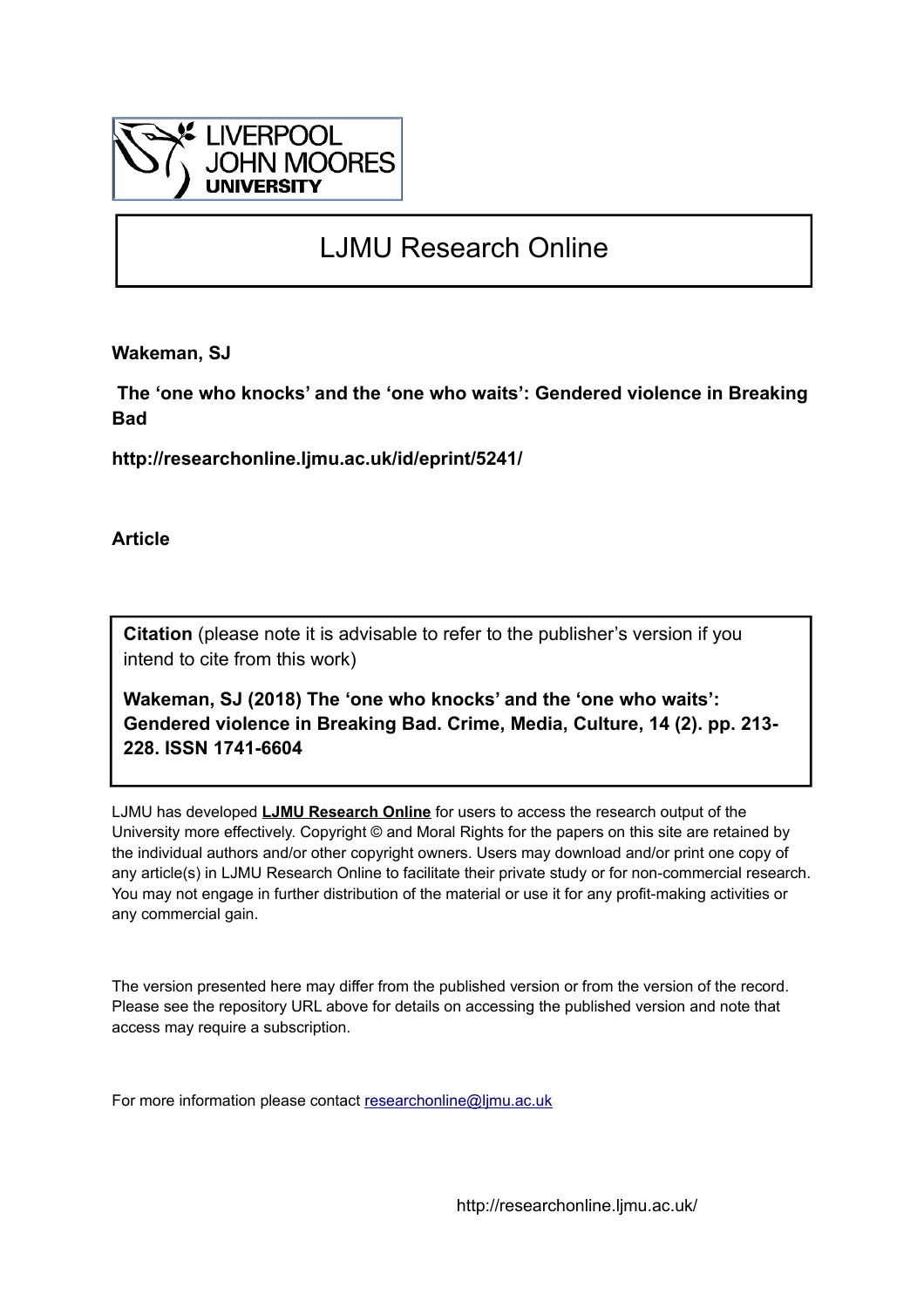

## LJMU Research Online

**Wakeman, SJ**

 **The 'one who knocks' and the 'one who waits': Gendered violence in Breaking Bad**

**http://researchonline.ljmu.ac.uk/id/eprint/5241/**

**Article**

**Citation** (please note it is advisable to refer to the publisher's version if you intend to cite from this work)

**Wakeman, SJ (2018) The 'one who knocks' and the 'one who waits': Gendered violence in Breaking Bad. Crime, Media, Culture, 14 (2). pp. 213- 228. ISSN 1741-6604** 

LJMU has developed **[LJMU Research Online](http://researchonline.ljmu.ac.uk/)** for users to access the research output of the University more effectively. Copyright © and Moral Rights for the papers on this site are retained by the individual authors and/or other copyright owners. Users may download and/or print one copy of any article(s) in LJMU Research Online to facilitate their private study or for non-commercial research. You may not engage in further distribution of the material or use it for any profit-making activities or any commercial gain.

The version presented here may differ from the published version or from the version of the record. Please see the repository URL above for details on accessing the published version and note that access may require a subscription.

For more information please contact [researchonline@ljmu.ac.uk](mailto:researchonline@ljmu.ac.uk)

http://researchonline.ljmu.ac.uk/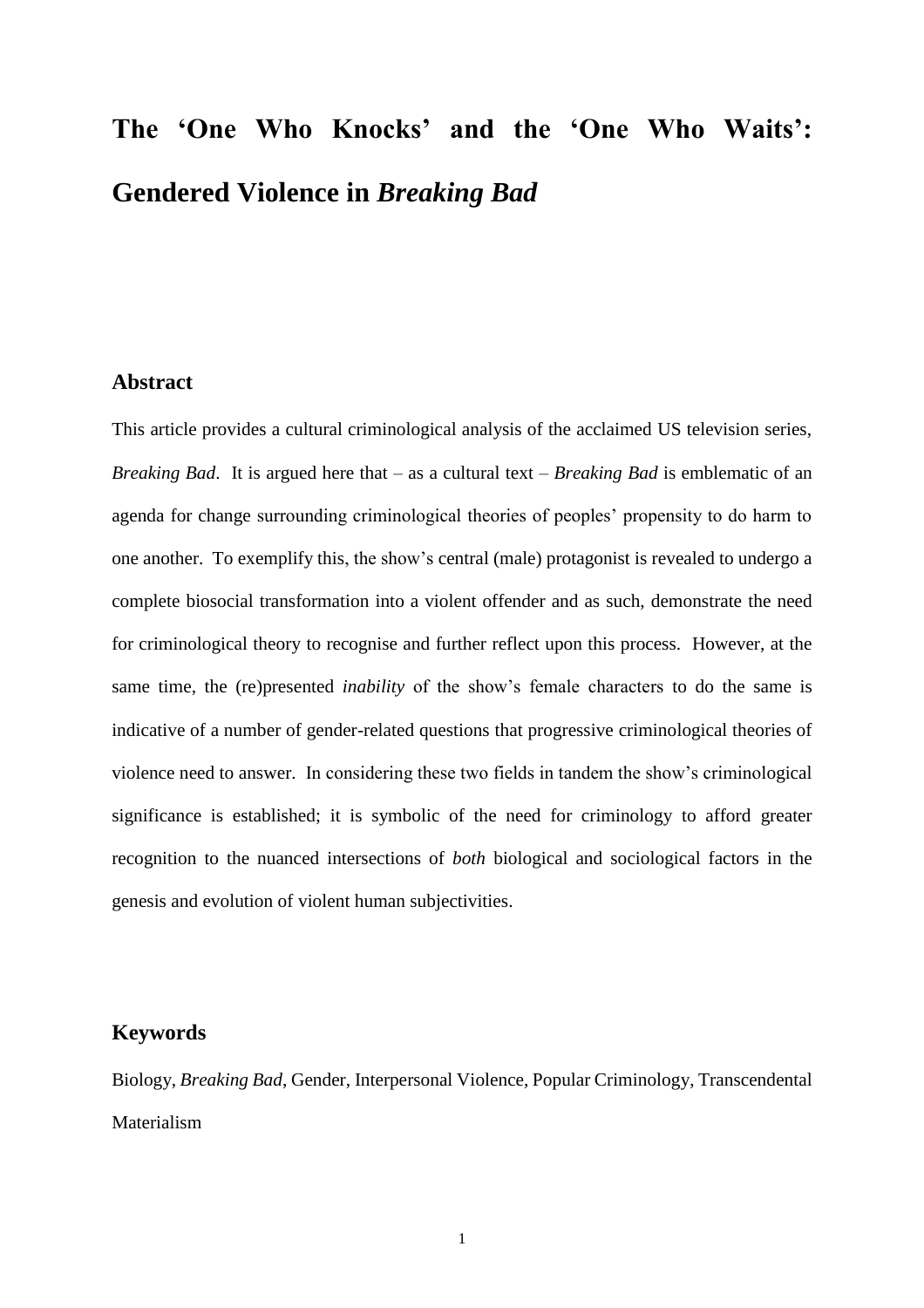# **The 'One Who Knocks' and the 'One Who Waits': Gendered Violence in** *Breaking Bad*

## **Abstract**

This article provides a cultural criminological analysis of the acclaimed US television series, *Breaking Bad*. It is argued here that – as a cultural text – *Breaking Bad* is emblematic of an agenda for change surrounding criminological theories of peoples' propensity to do harm to one another. To exemplify this, the show's central (male) protagonist is revealed to undergo a complete biosocial transformation into a violent offender and as such, demonstrate the need for criminological theory to recognise and further reflect upon this process. However, at the same time, the (re)presented *inability* of the show's female characters to do the same is indicative of a number of gender-related questions that progressive criminological theories of violence need to answer. In considering these two fields in tandem the show's criminological significance is established; it is symbolic of the need for criminology to afford greater recognition to the nuanced intersections of *both* biological and sociological factors in the genesis and evolution of violent human subjectivities.

## **Keywords**

Biology, *Breaking Bad*, Gender, Interpersonal Violence, Popular Criminology, Transcendental Materialism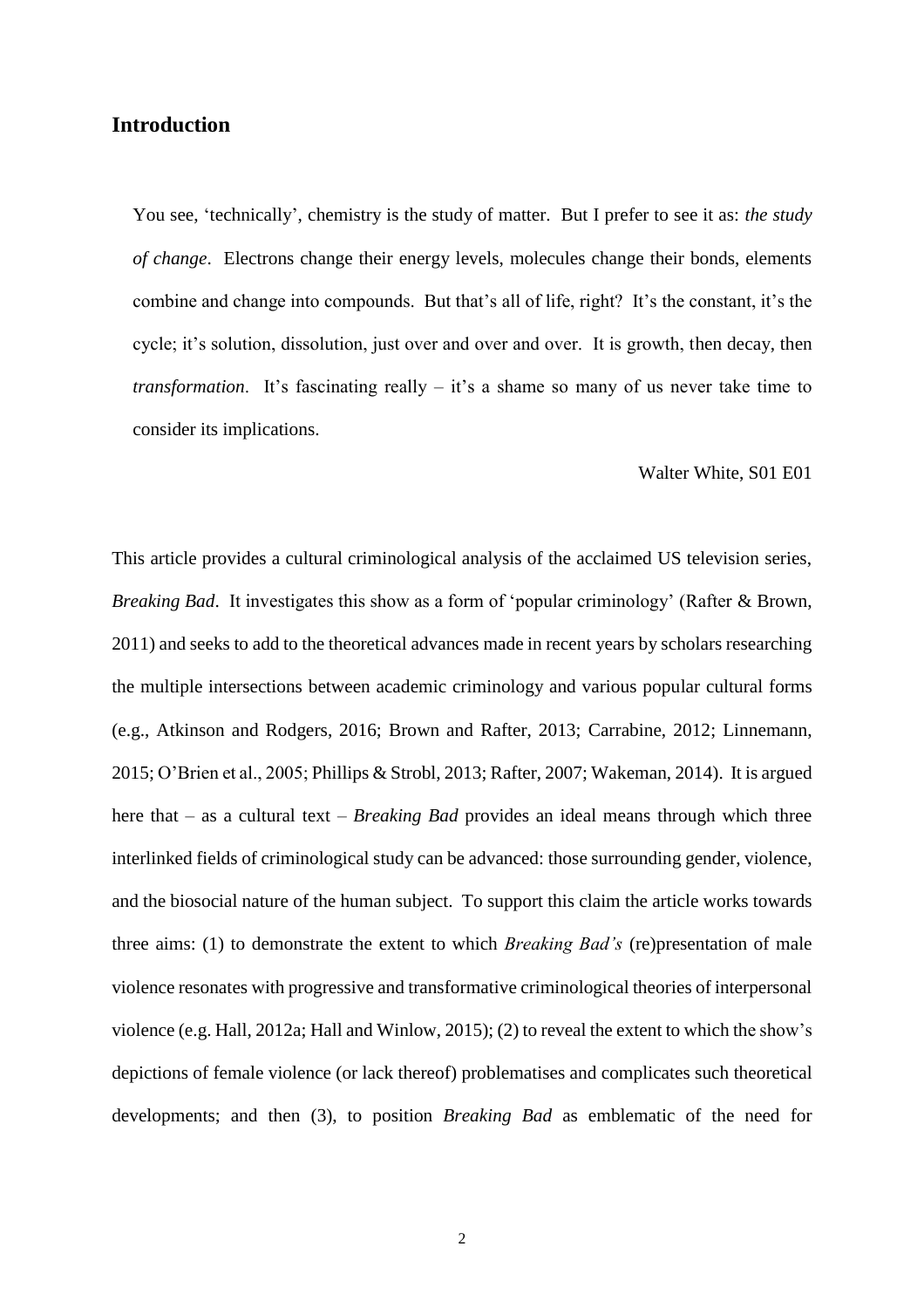## **Introduction**

You see, 'technically', chemistry is the study of matter. But I prefer to see it as: *the study of change*. Electrons change their energy levels, molecules change their bonds, elements combine and change into compounds. But that's all of life, right? It's the constant, it's the cycle; it's solution, dissolution, just over and over and over. It is growth, then decay, then *transformation*. It's fascinating really – it's a shame so many of us never take time to consider its implications.

#### Walter White, S01 E01

This article provides a cultural criminological analysis of the acclaimed US television series, *Breaking Bad*. It investigates this show as a form of 'popular criminology' (Rafter & Brown, 2011) and seeks to add to the theoretical advances made in recent years by scholars researching the multiple intersections between academic criminology and various popular cultural forms (e.g., Atkinson and Rodgers, 2016; Brown and Rafter, 2013; Carrabine, 2012; Linnemann, 2015; O'Brien et al., 2005; Phillips & Strobl, 2013; Rafter, 2007; Wakeman, 2014). It is argued here that – as a cultural text – *Breaking Bad* provides an ideal means through which three interlinked fields of criminological study can be advanced: those surrounding gender, violence, and the biosocial nature of the human subject. To support this claim the article works towards three aims: (1) to demonstrate the extent to which *Breaking Bad's* (re)presentation of male violence resonates with progressive and transformative criminological theories of interpersonal violence (e.g. Hall, 2012a; Hall and Winlow, 2015); (2) to reveal the extent to which the show's depictions of female violence (or lack thereof) problematises and complicates such theoretical developments; and then (3), to position *Breaking Bad* as emblematic of the need for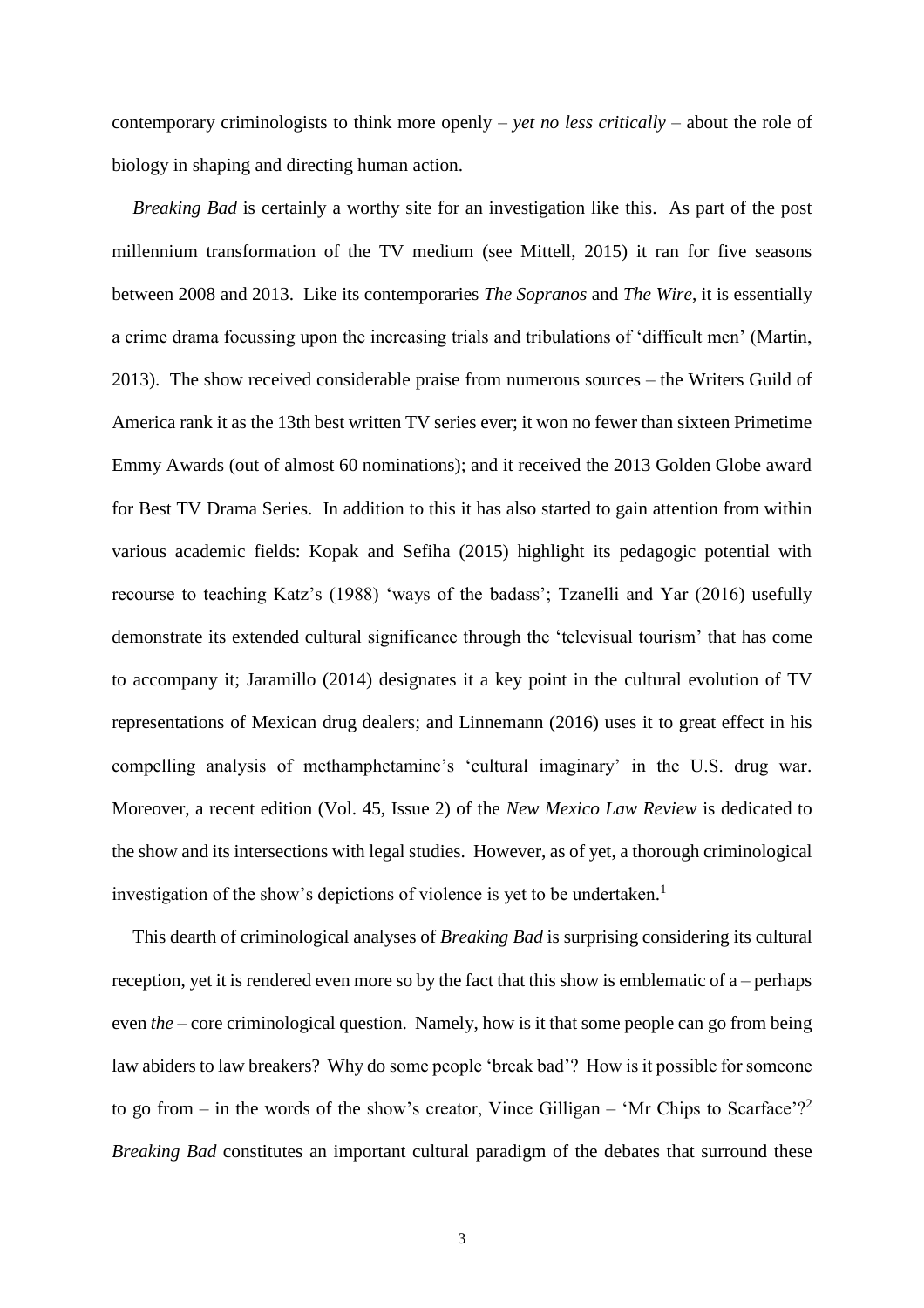contemporary criminologists to think more openly – *yet no less critically* – about the role of biology in shaping and directing human action.

*Breaking Bad* is certainly a worthy site for an investigation like this. As part of the post millennium transformation of the TV medium (see Mittell, 2015) it ran for five seasons between 2008 and 2013. Like its contemporaries *The Sopranos* and *The Wire*, it is essentially a crime drama focussing upon the increasing trials and tribulations of 'difficult men' (Martin, 2013). The show received considerable praise from numerous sources – the Writers Guild of America rank it as the 13th best written TV series ever; it won no fewer than sixteen Primetime Emmy Awards (out of almost 60 nominations); and it received the 2013 Golden Globe award for Best TV Drama Series. In addition to this it has also started to gain attention from within various academic fields: Kopak and Sefiha (2015) highlight its pedagogic potential with recourse to teaching Katz's (1988) 'ways of the badass'; Tzanelli and Yar (2016) usefully demonstrate its extended cultural significance through the 'televisual tourism' that has come to accompany it; Jaramillo (2014) designates it a key point in the cultural evolution of TV representations of Mexican drug dealers; and Linnemann (2016) uses it to great effect in his compelling analysis of methamphetamine's 'cultural imaginary' in the U.S. drug war. Moreover, a recent edition (Vol. 45, Issue 2) of the *New Mexico Law Review* is dedicated to the show and its intersections with legal studies. However, as of yet, a thorough criminological investigation of the show's depictions of violence is yet to be undertaken. 1

This dearth of criminological analyses of *Breaking Bad* is surprising considering its cultural reception, yet it is rendered even more so by the fact that this show is emblematic of  $a$  – perhaps even *the* – core criminological question. Namely, how is it that some people can go from being law abiders to law breakers? Why do some people 'break bad'? How is it possible for someone to go from – in the words of the show's creator, Vince Gilligan – 'Mr Chips to Scarface'?<sup>2</sup> *Breaking Bad* constitutes an important cultural paradigm of the debates that surround these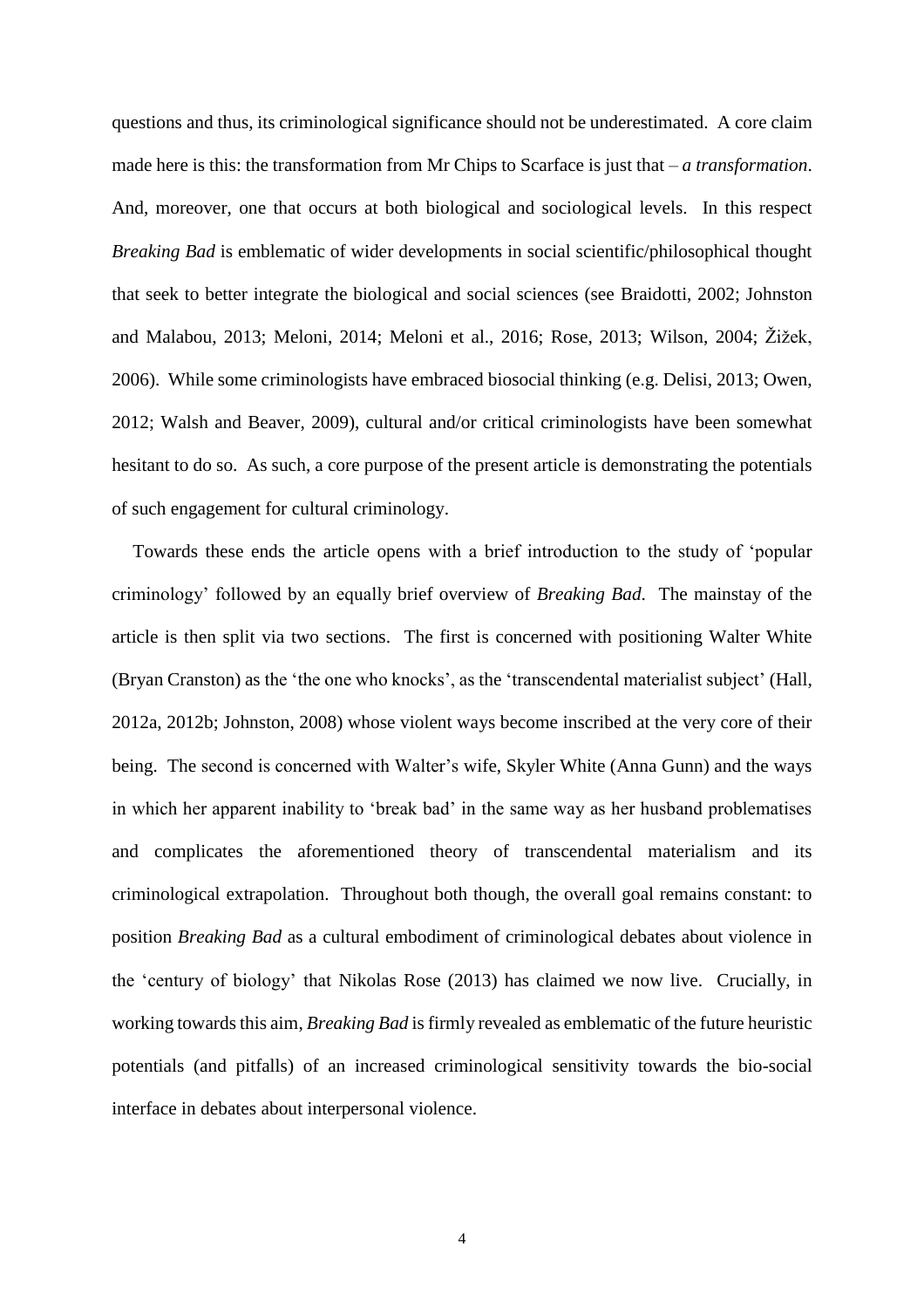questions and thus, its criminological significance should not be underestimated. A core claim made here is this: the transformation from Mr Chips to Scarface is just that – *a transformation*. And, moreover, one that occurs at both biological and sociological levels. In this respect *Breaking Bad* is emblematic of wider developments in social scientific/philosophical thought that seek to better integrate the biological and social sciences (see Braidotti, 2002; Johnston and Malabou, 2013; Meloni, 2014; Meloni et al., 2016; Rose, 2013; Wilson, 2004; Žižek, 2006). While some criminologists have embraced biosocial thinking (e.g. Delisi, 2013; Owen, 2012; Walsh and Beaver, 2009), cultural and/or critical criminologists have been somewhat hesitant to do so. As such, a core purpose of the present article is demonstrating the potentials of such engagement for cultural criminology.

Towards these ends the article opens with a brief introduction to the study of 'popular criminology' followed by an equally brief overview of *Breaking Bad*. The mainstay of the article is then split via two sections. The first is concerned with positioning Walter White (Bryan Cranston) as the 'the one who knocks', as the 'transcendental materialist subject' (Hall, 2012a, 2012b; Johnston, 2008) whose violent ways become inscribed at the very core of their being. The second is concerned with Walter's wife, Skyler White (Anna Gunn) and the ways in which her apparent inability to 'break bad' in the same way as her husband problematises and complicates the aforementioned theory of transcendental materialism and its criminological extrapolation. Throughout both though, the overall goal remains constant: to position *Breaking Bad* as a cultural embodiment of criminological debates about violence in the 'century of biology' that Nikolas Rose (2013) has claimed we now live. Crucially, in working towards this aim, *Breaking Bad* is firmly revealed as emblematic of the future heuristic potentials (and pitfalls) of an increased criminological sensitivity towards the bio-social interface in debates about interpersonal violence.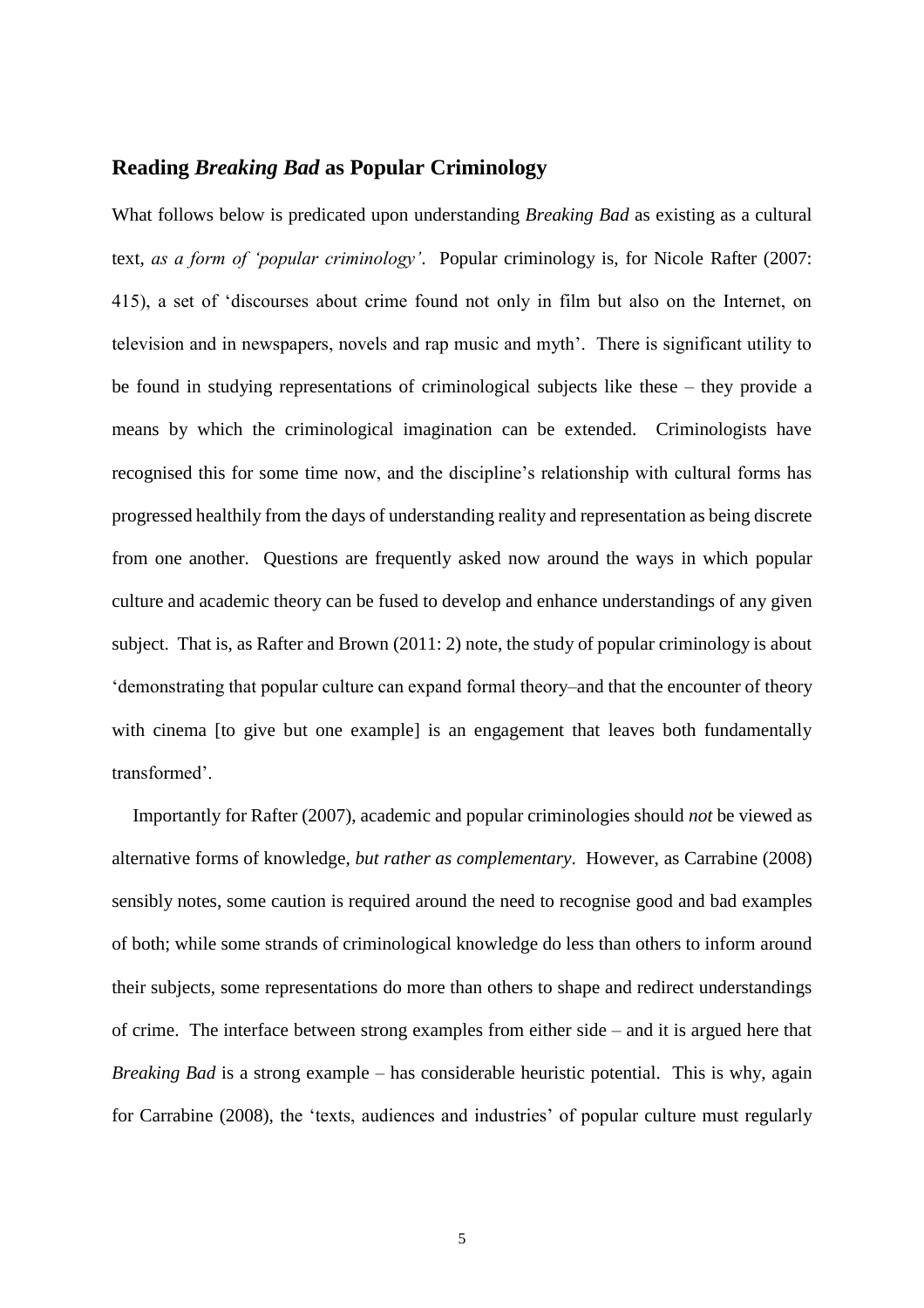## **Reading** *Breaking Bad* **as Popular Criminology**

What follows below is predicated upon understanding *Breaking Bad* as existing as a cultural text, *as a form of 'popular criminology'*. Popular criminology is, for Nicole Rafter (2007: 415), a set of 'discourses about crime found not only in film but also on the Internet, on television and in newspapers, novels and rap music and myth'. There is significant utility to be found in studying representations of criminological subjects like these – they provide a means by which the criminological imagination can be extended. Criminologists have recognised this for some time now, and the discipline's relationship with cultural forms has progressed healthily from the days of understanding reality and representation as being discrete from one another. Questions are frequently asked now around the ways in which popular culture and academic theory can be fused to develop and enhance understandings of any given subject. That is, as Rafter and Brown (2011: 2) note, the study of popular criminology is about 'demonstrating that popular culture can expand formal theory–and that the encounter of theory with cinema [to give but one example] is an engagement that leaves both fundamentally transformed'.

Importantly for Rafter (2007), academic and popular criminologies should *not* be viewed as alternative forms of knowledge, *but rather as complementary*. However, as Carrabine (2008) sensibly notes, some caution is required around the need to recognise good and bad examples of both; while some strands of criminological knowledge do less than others to inform around their subjects, some representations do more than others to shape and redirect understandings of crime. The interface between strong examples from either side – and it is argued here that *Breaking Bad* is a strong example – has considerable heuristic potential. This is why, again for Carrabine (2008), the 'texts, audiences and industries' of popular culture must regularly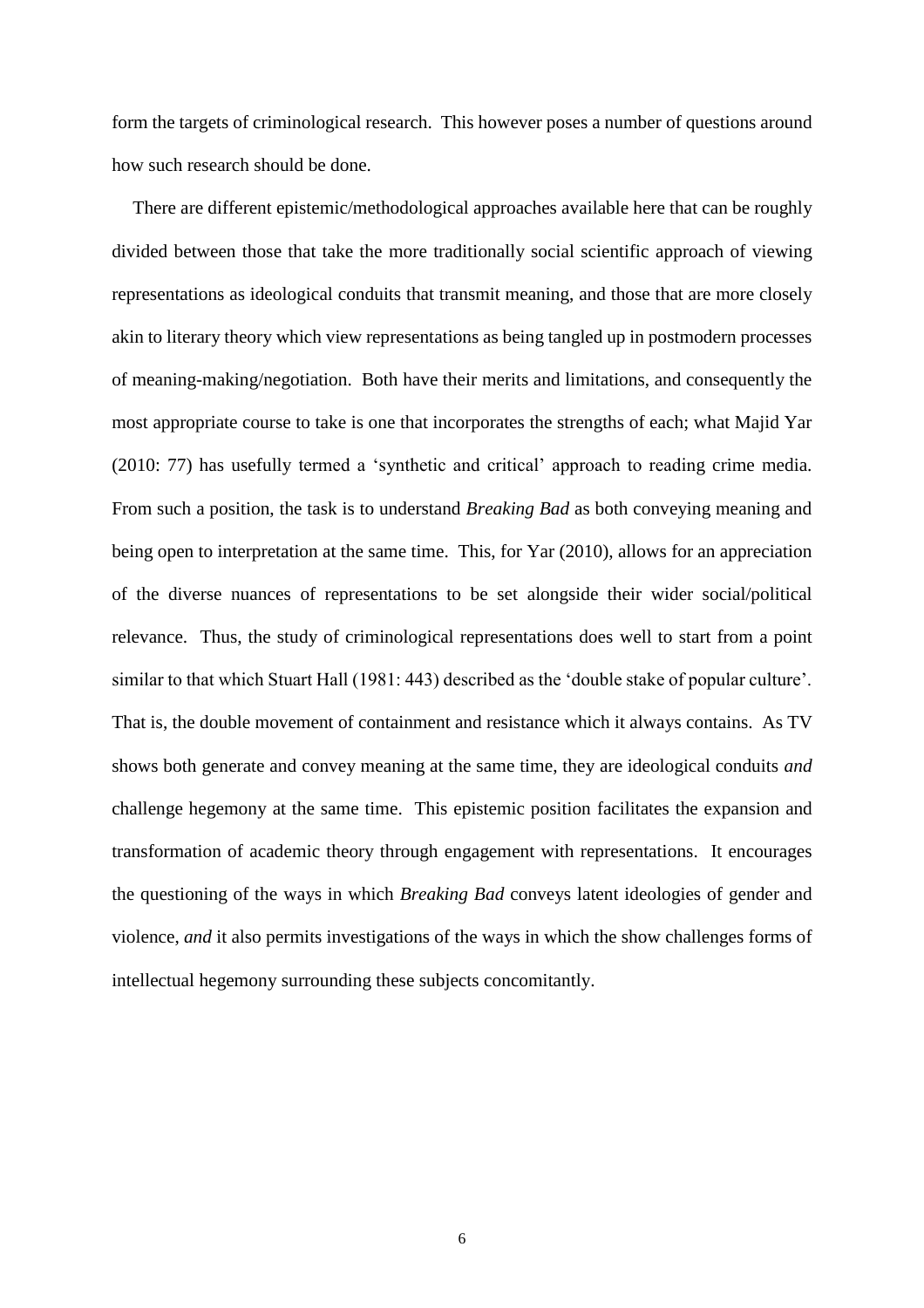form the targets of criminological research. This however poses a number of questions around how such research should be done.

There are different epistemic/methodological approaches available here that can be roughly divided between those that take the more traditionally social scientific approach of viewing representations as ideological conduits that transmit meaning, and those that are more closely akin to literary theory which view representations as being tangled up in postmodern processes of meaning-making/negotiation. Both have their merits and limitations, and consequently the most appropriate course to take is one that incorporates the strengths of each; what Majid Yar (2010: 77) has usefully termed a 'synthetic and critical' approach to reading crime media. From such a position, the task is to understand *Breaking Bad* as both conveying meaning and being open to interpretation at the same time. This, for Yar (2010), allows for an appreciation of the diverse nuances of representations to be set alongside their wider social/political relevance. Thus, the study of criminological representations does well to start from a point similar to that which Stuart Hall (1981: 443) described as the 'double stake of popular culture'. That is, the double movement of containment and resistance which it always contains. As TV shows both generate and convey meaning at the same time, they are ideological conduits *and* challenge hegemony at the same time. This epistemic position facilitates the expansion and transformation of academic theory through engagement with representations. It encourages the questioning of the ways in which *Breaking Bad* conveys latent ideologies of gender and violence, *and* it also permits investigations of the ways in which the show challenges forms of intellectual hegemony surrounding these subjects concomitantly.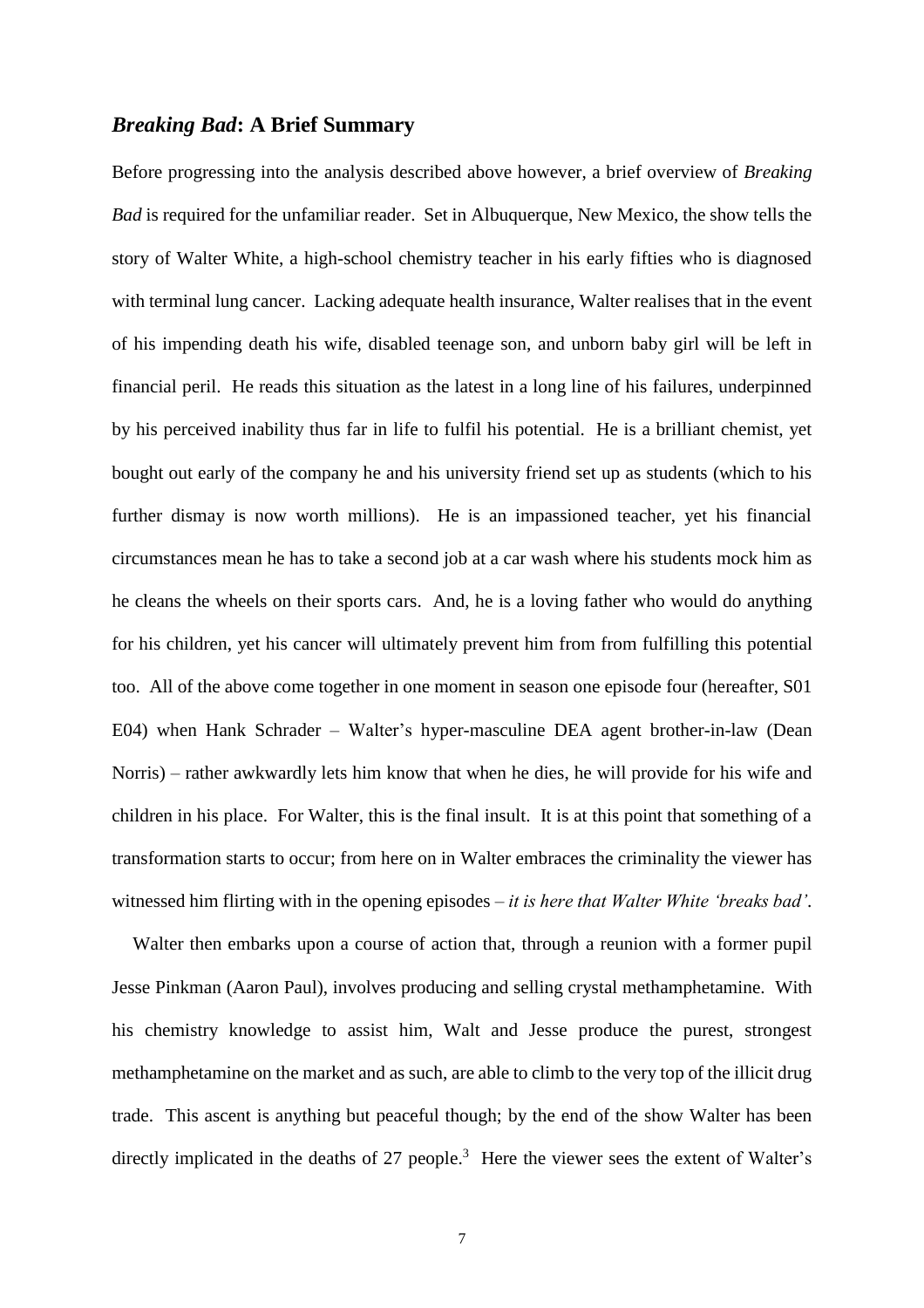### *Breaking Bad***: A Brief Summary**

Before progressing into the analysis described above however, a brief overview of *Breaking Bad* is required for the unfamiliar reader. Set in Albuquerque, New Mexico, the show tells the story of Walter White, a high-school chemistry teacher in his early fifties who is diagnosed with terminal lung cancer. Lacking adequate health insurance, Walter realises that in the event of his impending death his wife, disabled teenage son, and unborn baby girl will be left in financial peril. He reads this situation as the latest in a long line of his failures, underpinned by his perceived inability thus far in life to fulfil his potential. He is a brilliant chemist, yet bought out early of the company he and his university friend set up as students (which to his further dismay is now worth millions). He is an impassioned teacher, yet his financial circumstances mean he has to take a second job at a car wash where his students mock him as he cleans the wheels on their sports cars. And, he is a loving father who would do anything for his children, yet his cancer will ultimately prevent him from from fulfilling this potential too. All of the above come together in one moment in season one episode four (hereafter, S01 E04) when Hank Schrader – Walter's hyper-masculine DEA agent brother-in-law (Dean Norris) – rather awkwardly lets him know that when he dies, he will provide for his wife and children in his place. For Walter, this is the final insult. It is at this point that something of a transformation starts to occur; from here on in Walter embraces the criminality the viewer has witnessed him flirting with in the opening episodes – *it is here that Walter White 'breaks bad'*.

Walter then embarks upon a course of action that, through a reunion with a former pupil Jesse Pinkman (Aaron Paul), involves producing and selling crystal methamphetamine. With his chemistry knowledge to assist him, Walt and Jesse produce the purest, strongest methamphetamine on the market and as such, are able to climb to the very top of the illicit drug trade. This ascent is anything but peaceful though; by the end of the show Walter has been directly implicated in the deaths of 27 people.<sup>3</sup> Here the viewer sees the extent of Walter's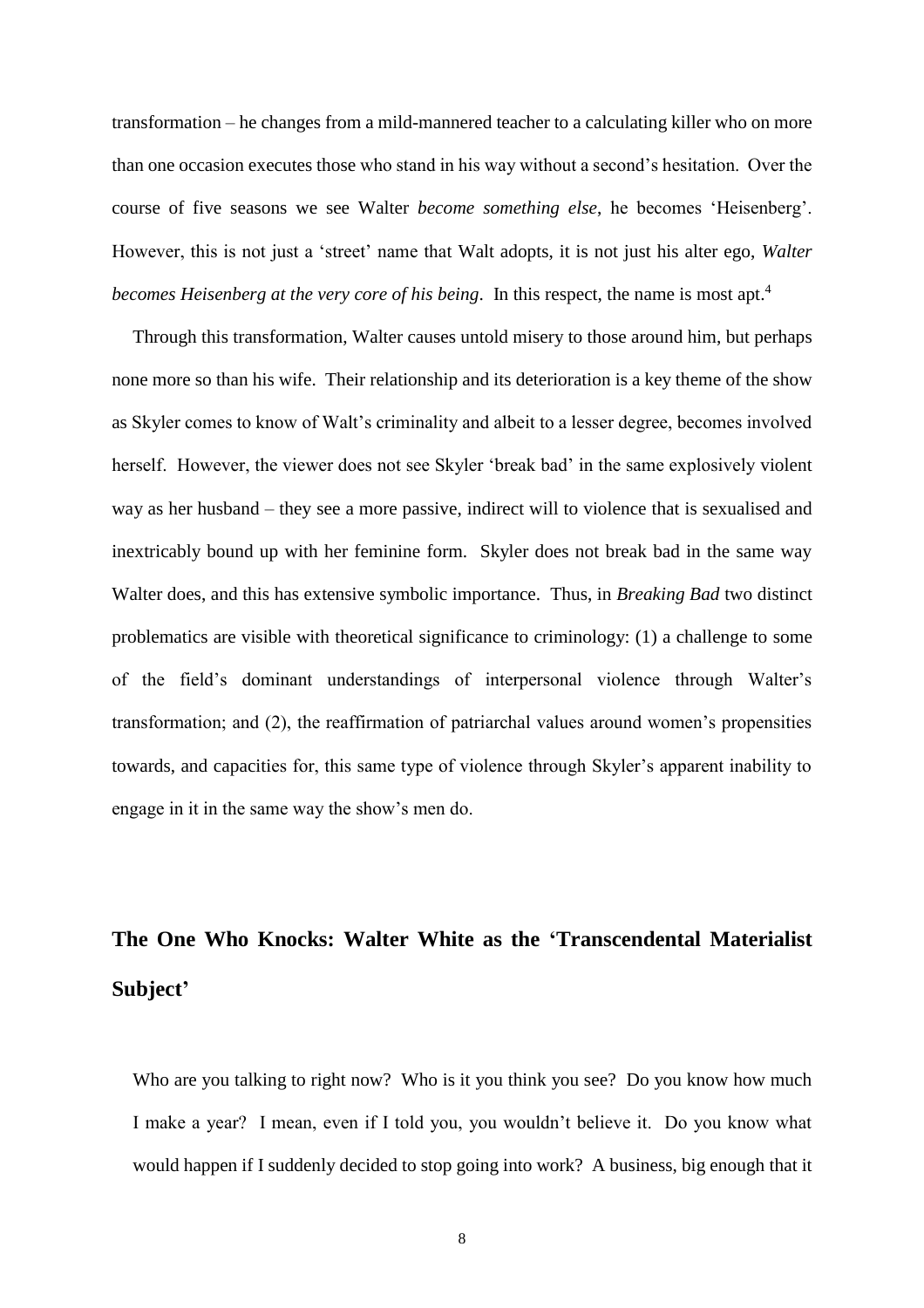transformation – he changes from a mild-mannered teacher to a calculating killer who on more than one occasion executes those who stand in his way without a second's hesitation. Over the course of five seasons we see Walter *become something else*, he becomes 'Heisenberg'. However, this is not just a 'street' name that Walt adopts, it is not just his alter ego, *Walter becomes Heisenberg at the very core of his being*. In this respect, the name is most apt. 4

Through this transformation, Walter causes untold misery to those around him, but perhaps none more so than his wife. Their relationship and its deterioration is a key theme of the show as Skyler comes to know of Walt's criminality and albeit to a lesser degree, becomes involved herself. However, the viewer does not see Skyler 'break bad' in the same explosively violent way as her husband – they see a more passive, indirect will to violence that is sexualised and inextricably bound up with her feminine form. Skyler does not break bad in the same way Walter does, and this has extensive symbolic importance. Thus, in *Breaking Bad* two distinct problematics are visible with theoretical significance to criminology: (1) a challenge to some of the field's dominant understandings of interpersonal violence through Walter's transformation; and (2), the reaffirmation of patriarchal values around women's propensities towards, and capacities for, this same type of violence through Skyler's apparent inability to engage in it in the same way the show's men do.

## **The One Who Knocks: Walter White as the 'Transcendental Materialist Subject'**

Who are you talking to right now? Who is it you think you see? Do you know how much I make a year? I mean, even if I told you, you wouldn't believe it. Do you know what would happen if I suddenly decided to stop going into work? A business, big enough that it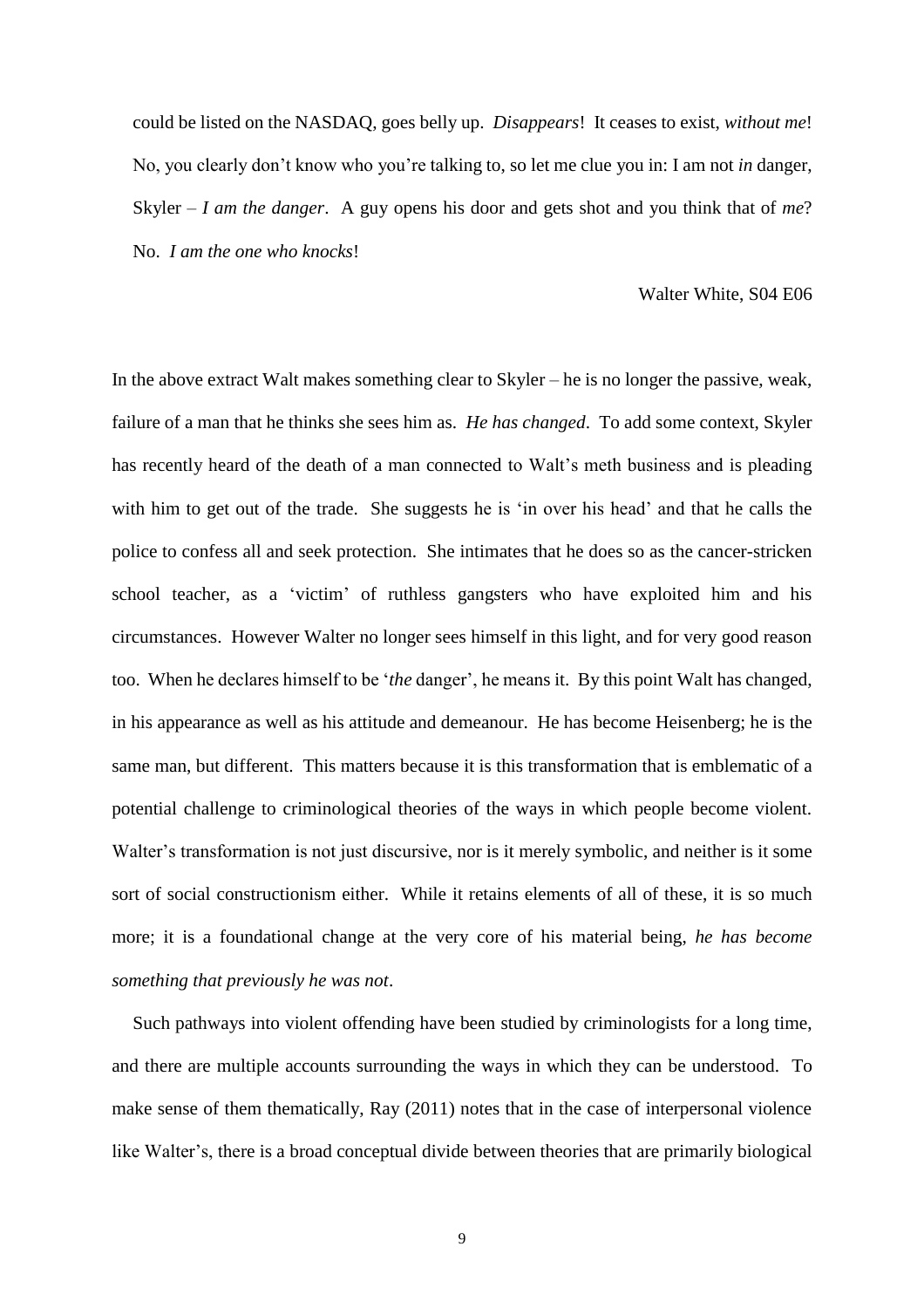could be listed on the NASDAQ, goes belly up. *Disappears*! It ceases to exist, *without me*! No, you clearly don't know who you're talking to, so let me clue you in: I am not *in* danger, Skyler – *I am the danger*. A guy opens his door and gets shot and you think that of *me*? No. *I am the one who knocks*!

#### Walter White, S04 E06

In the above extract Walt makes something clear to Skyler – he is no longer the passive, weak, failure of a man that he thinks she sees him as. *He has changed*. To add some context, Skyler has recently heard of the death of a man connected to Walt's meth business and is pleading with him to get out of the trade. She suggests he is 'in over his head' and that he calls the police to confess all and seek protection. She intimates that he does so as the cancer-stricken school teacher, as a 'victim' of ruthless gangsters who have exploited him and his circumstances. However Walter no longer sees himself in this light, and for very good reason too. When he declares himself to be '*the* danger', he means it. By this point Walt has changed, in his appearance as well as his attitude and demeanour. He has become Heisenberg; he is the same man, but different. This matters because it is this transformation that is emblematic of a potential challenge to criminological theories of the ways in which people become violent. Walter's transformation is not just discursive, nor is it merely symbolic, and neither is it some sort of social constructionism either. While it retains elements of all of these, it is so much more; it is a foundational change at the very core of his material being, *he has become something that previously he was not*.

Such pathways into violent offending have been studied by criminologists for a long time, and there are multiple accounts surrounding the ways in which they can be understood. To make sense of them thematically, Ray (2011) notes that in the case of interpersonal violence like Walter's, there is a broad conceptual divide between theories that are primarily biological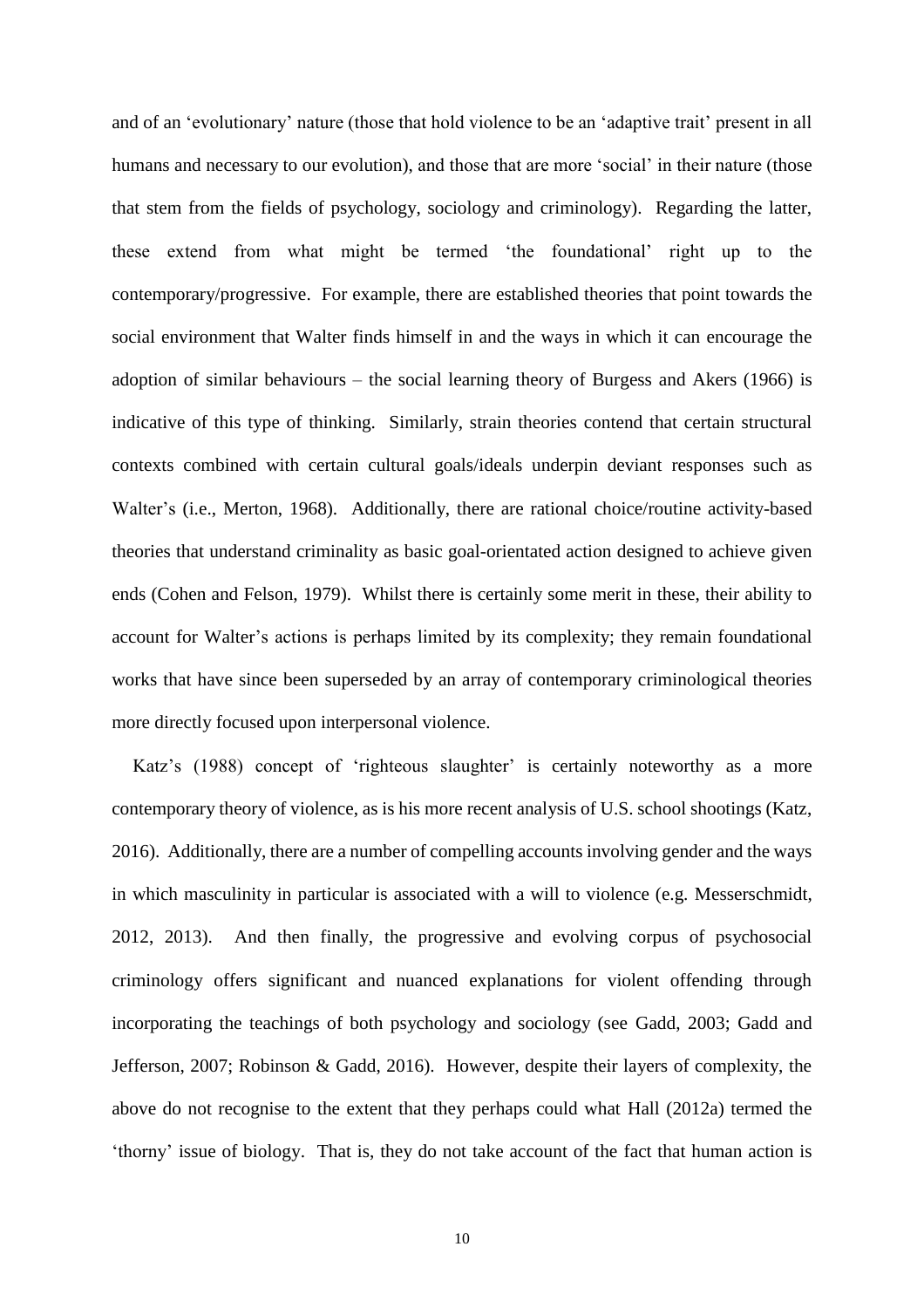and of an 'evolutionary' nature (those that hold violence to be an 'adaptive trait' present in all humans and necessary to our evolution), and those that are more 'social' in their nature (those that stem from the fields of psychology, sociology and criminology). Regarding the latter, these extend from what might be termed 'the foundational' right up to the contemporary/progressive. For example, there are established theories that point towards the social environment that Walter finds himself in and the ways in which it can encourage the adoption of similar behaviours – the social learning theory of Burgess and Akers (1966) is indicative of this type of thinking. Similarly, strain theories contend that certain structural contexts combined with certain cultural goals/ideals underpin deviant responses such as Walter's (i.e., Merton, 1968). Additionally, there are rational choice/routine activity-based theories that understand criminality as basic goal-orientated action designed to achieve given ends (Cohen and Felson, 1979). Whilst there is certainly some merit in these, their ability to account for Walter's actions is perhaps limited by its complexity; they remain foundational works that have since been superseded by an array of contemporary criminological theories more directly focused upon interpersonal violence.

Katz's (1988) concept of 'righteous slaughter' is certainly noteworthy as a more contemporary theory of violence, as is his more recent analysis of U.S. school shootings (Katz, 2016). Additionally, there are a number of compelling accounts involving gender and the ways in which masculinity in particular is associated with a will to violence (e.g. Messerschmidt, 2012, 2013). And then finally, the progressive and evolving corpus of psychosocial criminology offers significant and nuanced explanations for violent offending through incorporating the teachings of both psychology and sociology (see Gadd, 2003; Gadd and Jefferson, 2007; Robinson & Gadd, 2016). However, despite their layers of complexity, the above do not recognise to the extent that they perhaps could what Hall (2012a) termed the 'thorny' issue of biology. That is, they do not take account of the fact that human action is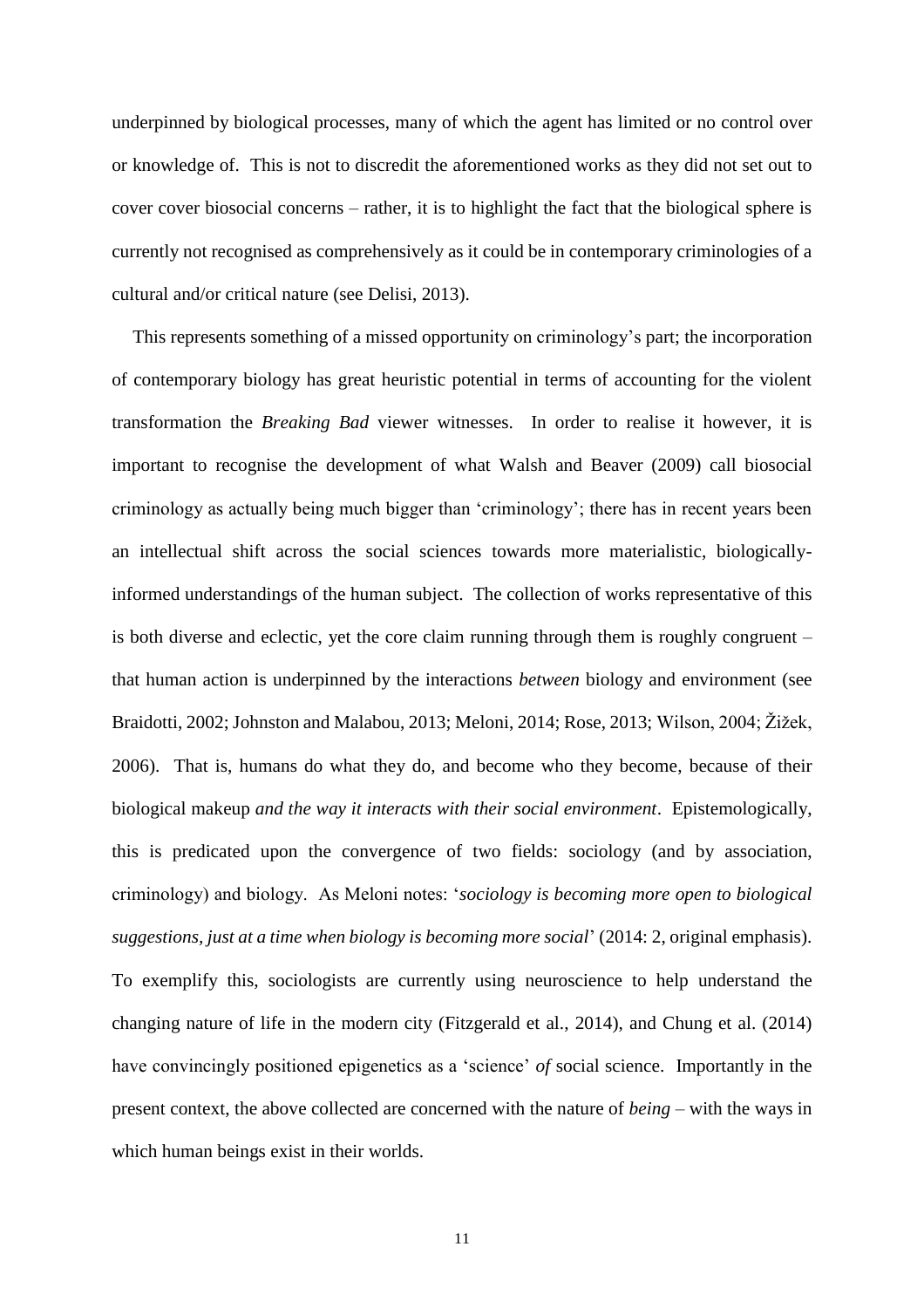underpinned by biological processes, many of which the agent has limited or no control over or knowledge of. This is not to discredit the aforementioned works as they did not set out to cover cover biosocial concerns – rather, it is to highlight the fact that the biological sphere is currently not recognised as comprehensively as it could be in contemporary criminologies of a cultural and/or critical nature (see Delisi, 2013).

This represents something of a missed opportunity on criminology's part; the incorporation of contemporary biology has great heuristic potential in terms of accounting for the violent transformation the *Breaking Bad* viewer witnesses. In order to realise it however, it is important to recognise the development of what Walsh and Beaver (2009) call biosocial criminology as actually being much bigger than 'criminology'; there has in recent years been an intellectual shift across the social sciences towards more materialistic, biologicallyinformed understandings of the human subject. The collection of works representative of this is both diverse and eclectic, yet the core claim running through them is roughly congruent – that human action is underpinned by the interactions *between* biology and environment (see Braidotti, 2002; Johnston and Malabou, 2013; Meloni, 2014; Rose, 2013; Wilson, 2004; Žižek, 2006). That is, humans do what they do, and become who they become, because of their biological makeup *and the way it interacts with their social environment*. Epistemologically, this is predicated upon the convergence of two fields: sociology (and by association, criminology) and biology. As Meloni notes: '*sociology is becoming more open to biological suggestions, just at a time when biology is becoming more social*' (2014: 2, original emphasis). To exemplify this, sociologists are currently using neuroscience to help understand the changing nature of life in the modern city (Fitzgerald et al., 2014), and Chung et al. (2014) have convincingly positioned epigenetics as a 'science' *of* social science. Importantly in the present context, the above collected are concerned with the nature of *being* – with the ways in which human beings exist in their worlds.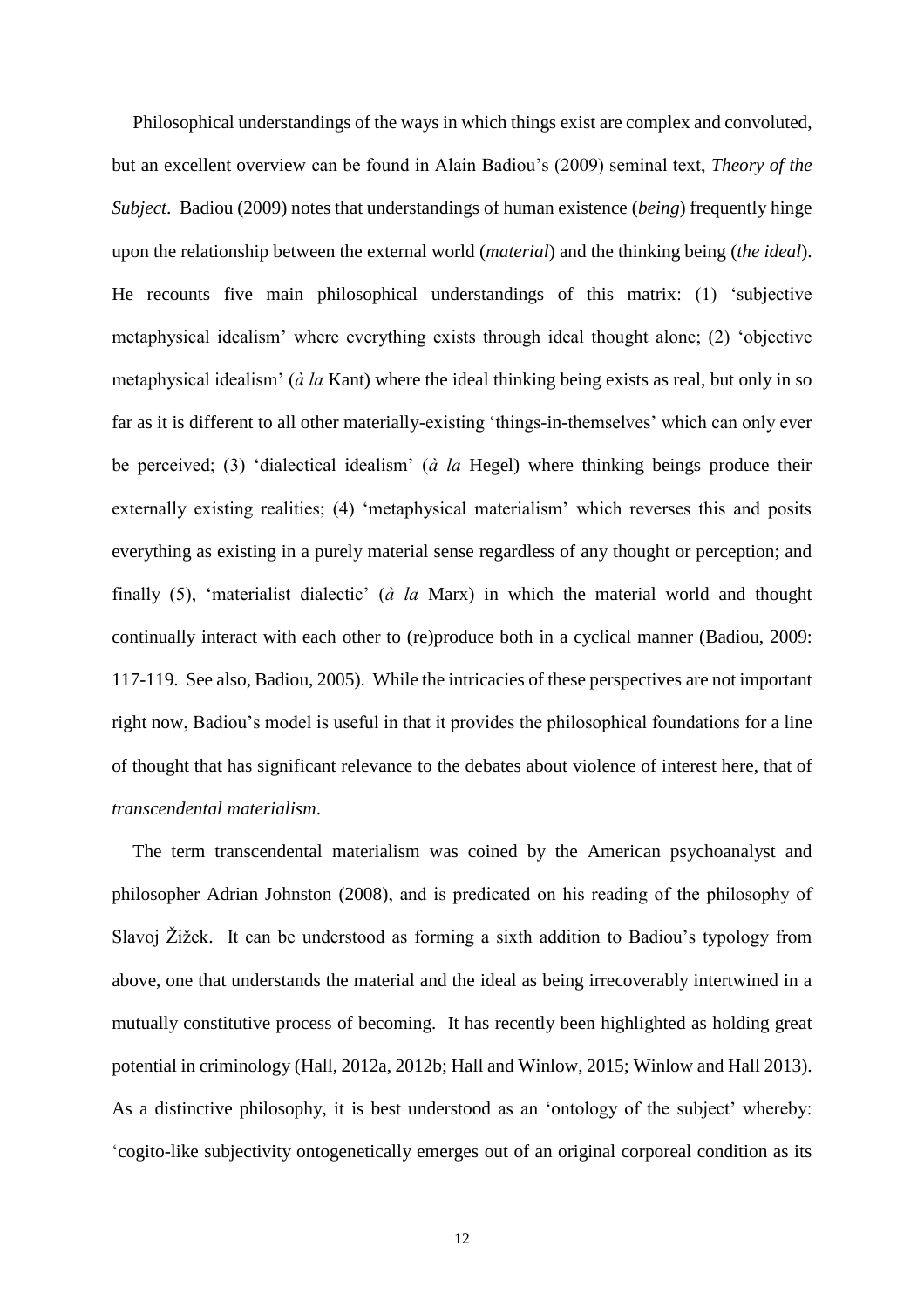Philosophical understandings of the ways in which things exist are complex and convoluted, but an excellent overview can be found in Alain Badiou's (2009) seminal text, *Theory of the Subject*. Badiou (2009) notes that understandings of human existence (*being*) frequently hinge upon the relationship between the external world (*material*) and the thinking being (*the ideal*). He recounts five main philosophical understandings of this matrix: (1) 'subjective metaphysical idealism' where everything exists through ideal thought alone; (2) 'objective metaphysical idealism' (*à la* Kant) where the ideal thinking being exists as real, but only in so far as it is different to all other materially-existing 'things-in-themselves' which can only ever be perceived; (3) 'dialectical idealism' (*à la* Hegel) where thinking beings produce their externally existing realities; (4) 'metaphysical materialism' which reverses this and posits everything as existing in a purely material sense regardless of any thought or perception; and finally (5), 'materialist dialectic' (*à la* Marx) in which the material world and thought continually interact with each other to (re)produce both in a cyclical manner (Badiou, 2009: 117-119. See also, Badiou, 2005). While the intricacies of these perspectives are not important right now, Badiou's model is useful in that it provides the philosophical foundations for a line of thought that has significant relevance to the debates about violence of interest here, that of *transcendental materialism*.

The term transcendental materialism was coined by the American psychoanalyst and philosopher Adrian Johnston (2008), and is predicated on his reading of the philosophy of Slavoj Žižek. It can be understood as forming a sixth addition to Badiou's typology from above, one that understands the material and the ideal as being irrecoverably intertwined in a mutually constitutive process of becoming. It has recently been highlighted as holding great potential in criminology (Hall, 2012a, 2012b; Hall and Winlow, 2015; Winlow and Hall 2013). As a distinctive philosophy, it is best understood as an 'ontology of the subject' whereby: 'cogito-like subjectivity ontogenetically emerges out of an original corporeal condition as its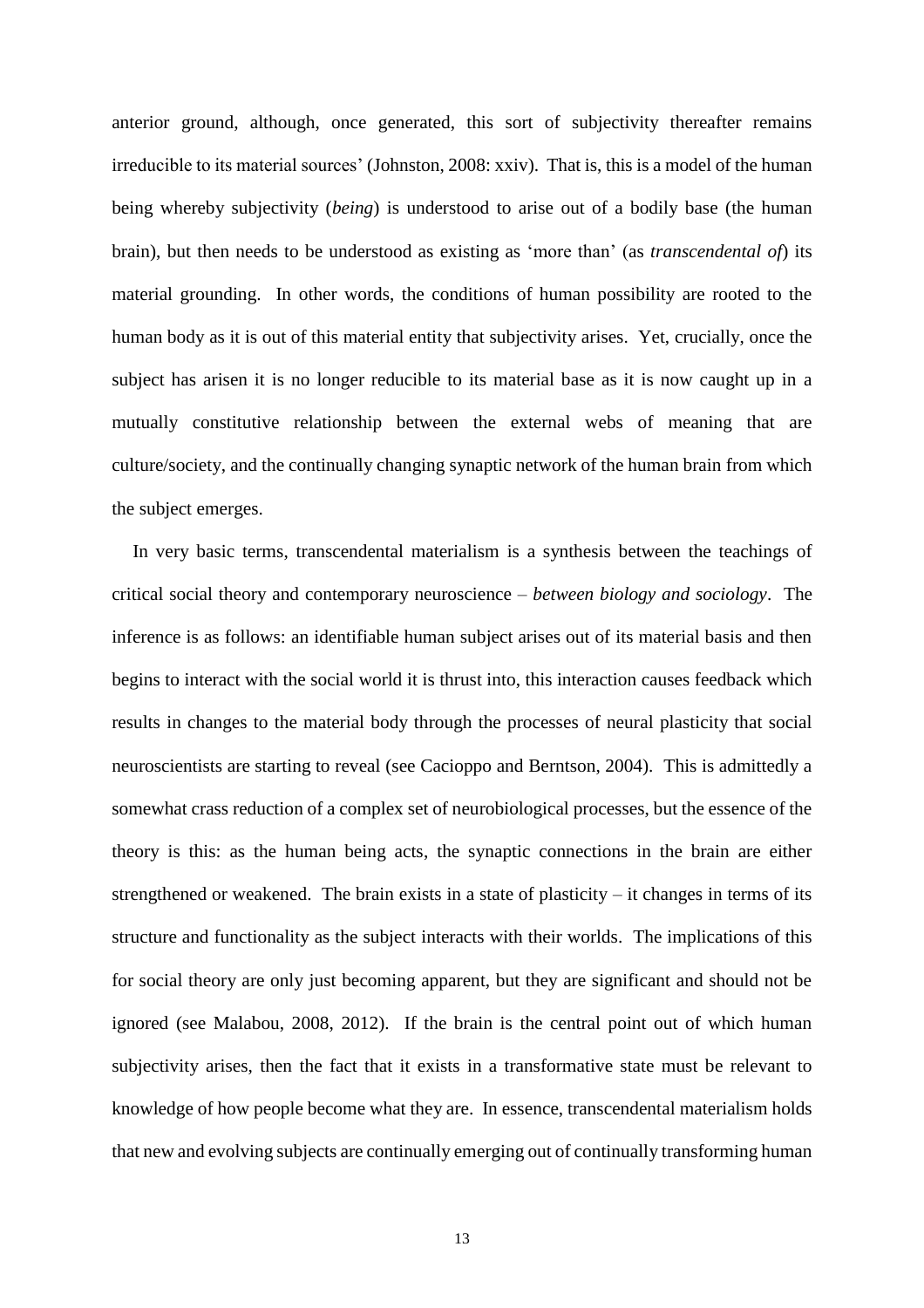anterior ground, although, once generated, this sort of subjectivity thereafter remains irreducible to its material sources' (Johnston, 2008: xxiv). That is, this is a model of the human being whereby subjectivity (*being*) is understood to arise out of a bodily base (the human brain), but then needs to be understood as existing as 'more than' (as *transcendental of*) its material grounding. In other words, the conditions of human possibility are rooted to the human body as it is out of this material entity that subjectivity arises. Yet, crucially, once the subject has arisen it is no longer reducible to its material base as it is now caught up in a mutually constitutive relationship between the external webs of meaning that are culture/society, and the continually changing synaptic network of the human brain from which the subject emerges.

In very basic terms, transcendental materialism is a synthesis between the teachings of critical social theory and contemporary neuroscience – *between biology and sociology*. The inference is as follows: an identifiable human subject arises out of its material basis and then begins to interact with the social world it is thrust into, this interaction causes feedback which results in changes to the material body through the processes of neural plasticity that social neuroscientists are starting to reveal (see Cacioppo and Berntson, 2004). This is admittedly a somewhat crass reduction of a complex set of neurobiological processes, but the essence of the theory is this: as the human being acts, the synaptic connections in the brain are either strengthened or weakened. The brain exists in a state of plasticity  $-$  it changes in terms of its structure and functionality as the subject interacts with their worlds. The implications of this for social theory are only just becoming apparent, but they are significant and should not be ignored (see Malabou, 2008, 2012). If the brain is the central point out of which human subjectivity arises, then the fact that it exists in a transformative state must be relevant to knowledge of how people become what they are. In essence, transcendental materialism holds that new and evolving subjects are continually emerging out of continually transforming human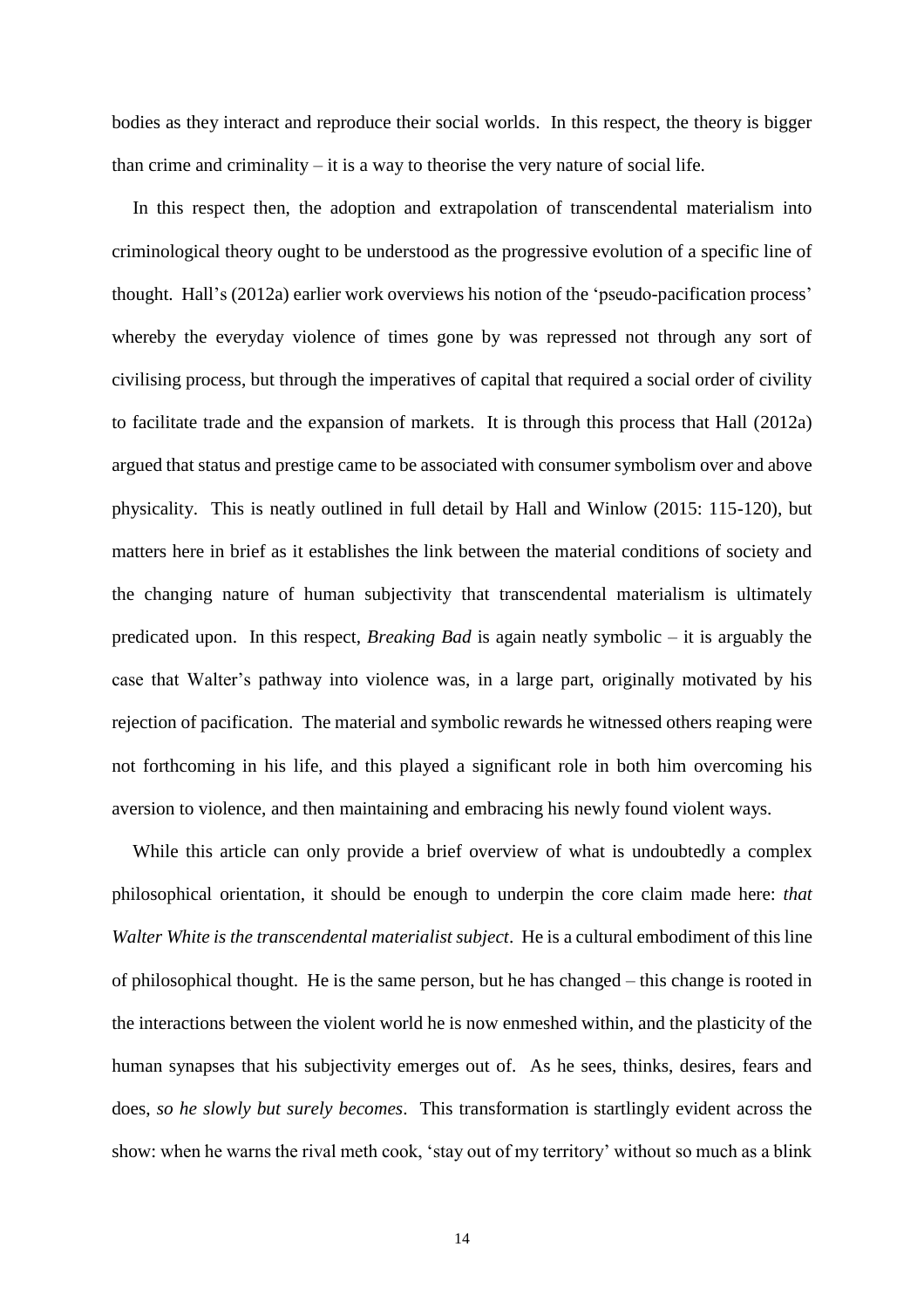bodies as they interact and reproduce their social worlds. In this respect, the theory is bigger than crime and criminality  $-$  it is a way to theorise the very nature of social life.

In this respect then, the adoption and extrapolation of transcendental materialism into criminological theory ought to be understood as the progressive evolution of a specific line of thought. Hall's (2012a) earlier work overviews his notion of the 'pseudo-pacification process' whereby the everyday violence of times gone by was repressed not through any sort of civilising process, but through the imperatives of capital that required a social order of civility to facilitate trade and the expansion of markets. It is through this process that Hall (2012a) argued that status and prestige came to be associated with consumer symbolism over and above physicality. This is neatly outlined in full detail by Hall and Winlow (2015: 115-120), but matters here in brief as it establishes the link between the material conditions of society and the changing nature of human subjectivity that transcendental materialism is ultimately predicated upon. In this respect, *Breaking Bad* is again neatly symbolic – it is arguably the case that Walter's pathway into violence was, in a large part, originally motivated by his rejection of pacification. The material and symbolic rewards he witnessed others reaping were not forthcoming in his life, and this played a significant role in both him overcoming his aversion to violence, and then maintaining and embracing his newly found violent ways.

While this article can only provide a brief overview of what is undoubtedly a complex philosophical orientation, it should be enough to underpin the core claim made here: *that Walter White is the transcendental materialist subject*. He is a cultural embodiment of this line of philosophical thought. He is the same person, but he has changed – this change is rooted in the interactions between the violent world he is now enmeshed within, and the plasticity of the human synapses that his subjectivity emerges out of. As he sees, thinks, desires, fears and does, *so he slowly but surely becomes*. This transformation is startlingly evident across the show: when he warns the rival meth cook, 'stay out of my territory' without so much as a blink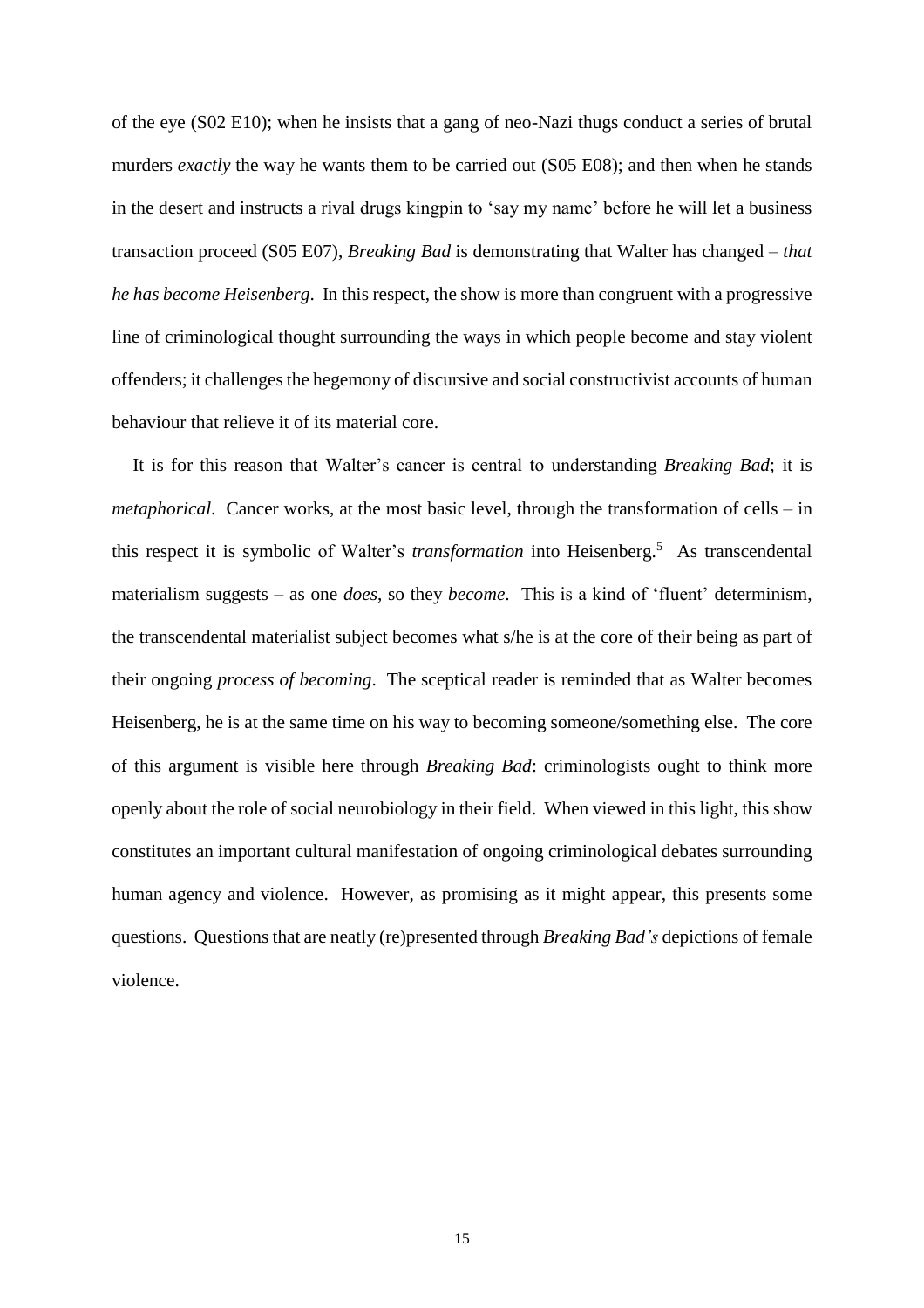of the eye (S02 E10); when he insists that a gang of neo-Nazi thugs conduct a series of brutal murders *exactly* the way he wants them to be carried out (S05 E08); and then when he stands in the desert and instructs a rival drugs kingpin to 'say my name' before he will let a business transaction proceed (S05 E07), *Breaking Bad* is demonstrating that Walter has changed – *that he has become Heisenberg*. In this respect, the show is more than congruent with a progressive line of criminological thought surrounding the ways in which people become and stay violent offenders; it challenges the hegemony of discursive and social constructivist accounts of human behaviour that relieve it of its material core.

It is for this reason that Walter's cancer is central to understanding *Breaking Bad*; it is *metaphorical*. Cancer works, at the most basic level, through the transformation of cells – in this respect it is symbolic of Walter's *transformation* into Heisenberg.<sup>5</sup> As transcendental materialism suggests – as one *does*, so they *become*. This is a kind of 'fluent' determinism, the transcendental materialist subject becomes what s/he is at the core of their being as part of their ongoing *process of becoming*. The sceptical reader is reminded that as Walter becomes Heisenberg, he is at the same time on his way to becoming someone/something else. The core of this argument is visible here through *Breaking Bad*: criminologists ought to think more openly about the role of social neurobiology in their field. When viewed in this light, this show constitutes an important cultural manifestation of ongoing criminological debates surrounding human agency and violence. However, as promising as it might appear, this presents some questions. Questions that are neatly (re)presented through *Breaking Bad's* depictions of female violence.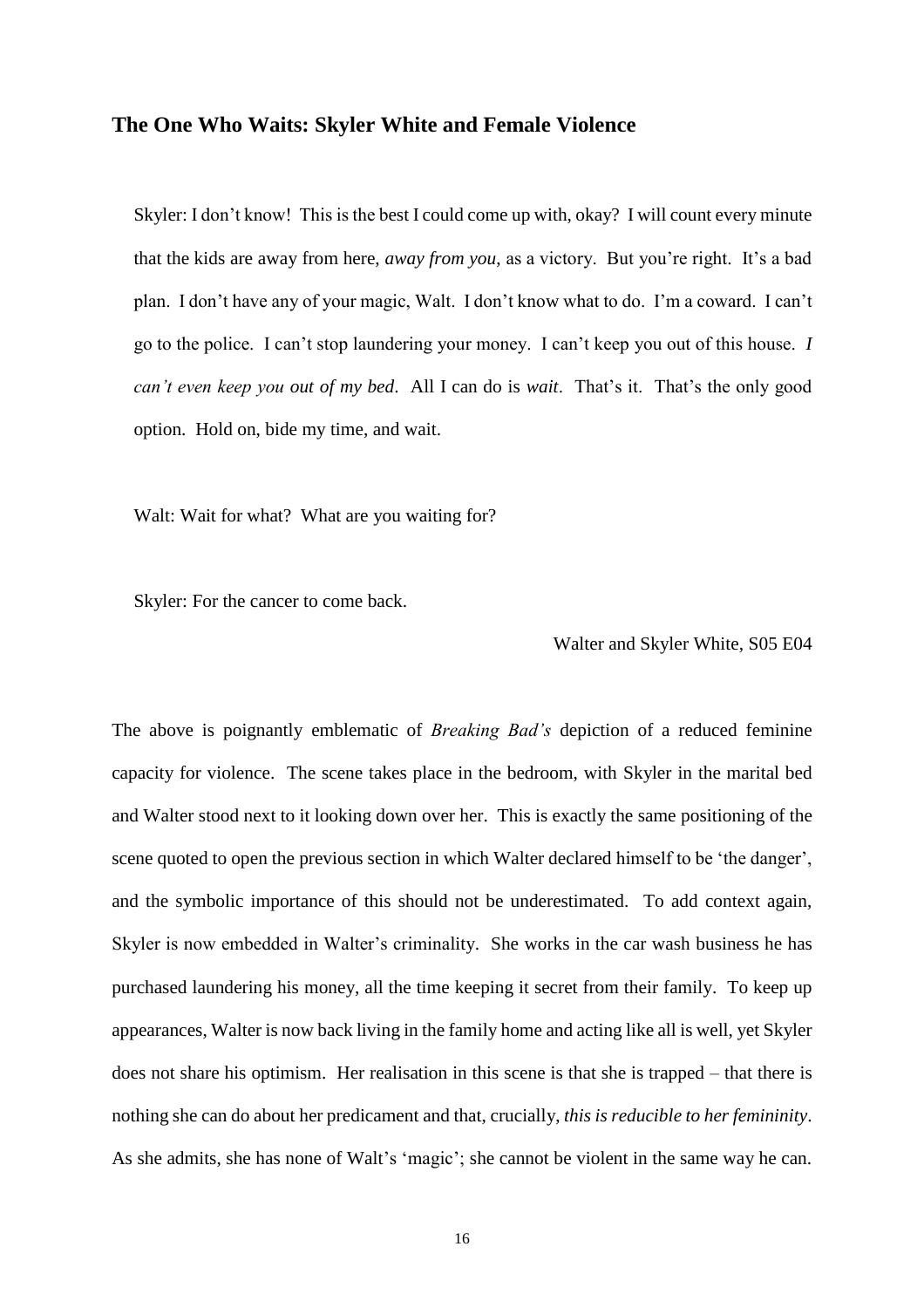#### **The One Who Waits: Skyler White and Female Violence**

Skyler: I don't know! This is the best I could come up with, okay? I will count every minute that the kids are away from here, *away from you*, as a victory. But you're right. It's a bad plan. I don't have any of your magic, Walt. I don't know what to do. I'm a coward. I can't go to the police. I can't stop laundering your money. I can't keep you out of this house. *I can't even keep you out of my bed*. All I can do is *wait*. That's it. That's the only good option. Hold on, bide my time, and wait.

Walt: Wait for what? What are you waiting for?

Skyler: For the cancer to come back.

#### Walter and Skyler White, S05 E04

The above is poignantly emblematic of *Breaking Bad's* depiction of a reduced feminine capacity for violence. The scene takes place in the bedroom, with Skyler in the marital bed and Walter stood next to it looking down over her. This is exactly the same positioning of the scene quoted to open the previous section in which Walter declared himself to be 'the danger', and the symbolic importance of this should not be underestimated. To add context again, Skyler is now embedded in Walter's criminality. She works in the car wash business he has purchased laundering his money, all the time keeping it secret from their family. To keep up appearances, Walter is now back living in the family home and acting like all is well, yet Skyler does not share his optimism. Her realisation in this scene is that she is trapped – that there is nothing she can do about her predicament and that, crucially, *this is reducible to her femininity*. As she admits, she has none of Walt's 'magic'; she cannot be violent in the same way he can.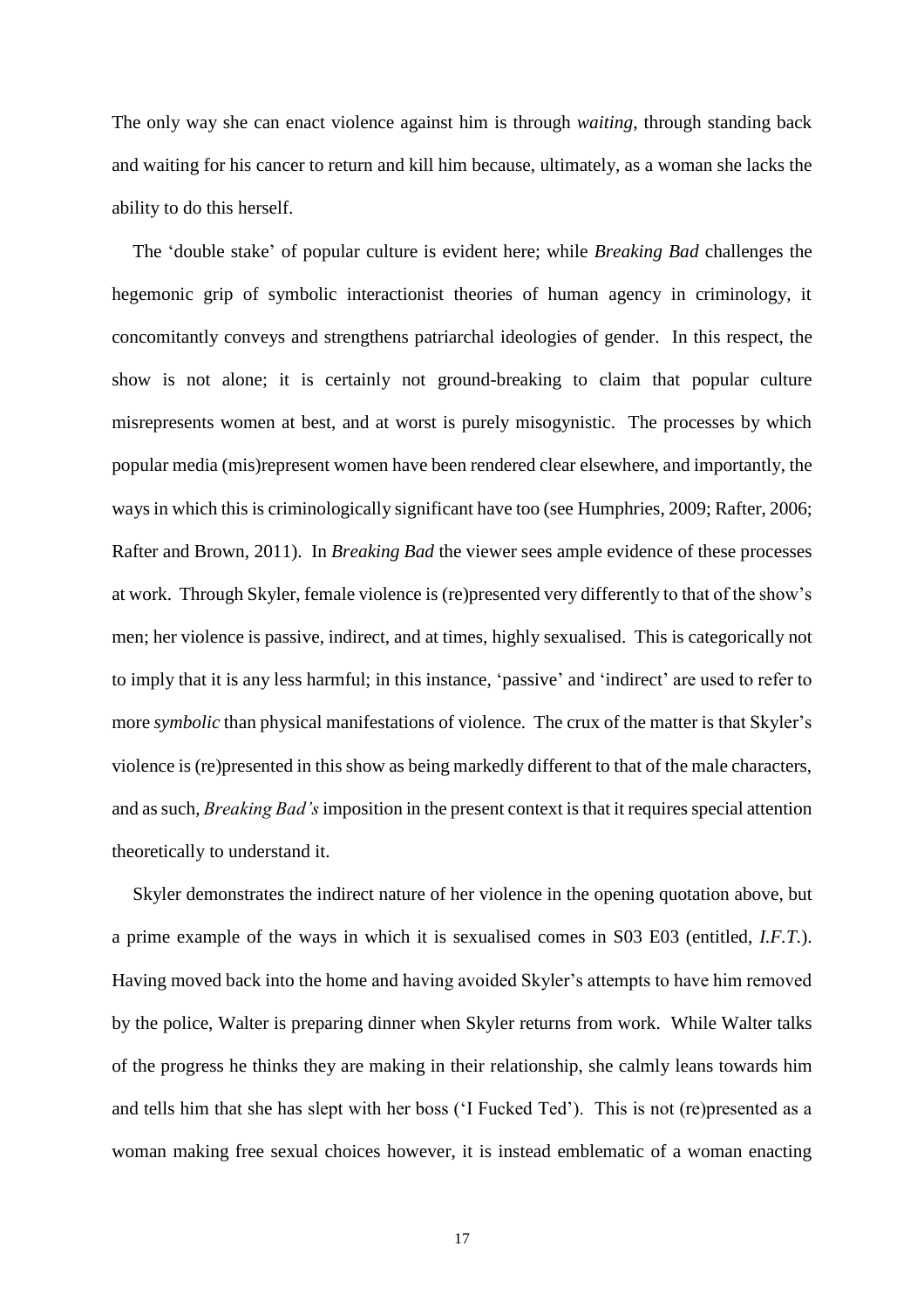The only way she can enact violence against him is through *waiting*, through standing back and waiting for his cancer to return and kill him because, ultimately, as a woman she lacks the ability to do this herself.

The 'double stake' of popular culture is evident here; while *Breaking Bad* challenges the hegemonic grip of symbolic interactionist theories of human agency in criminology, it concomitantly conveys and strengthens patriarchal ideologies of gender. In this respect, the show is not alone; it is certainly not ground-breaking to claim that popular culture misrepresents women at best, and at worst is purely misogynistic. The processes by which popular media (mis)represent women have been rendered clear elsewhere, and importantly, the ways in which this is criminologically significant have too (see Humphries, 2009; Rafter, 2006; Rafter and Brown, 2011). In *Breaking Bad* the viewer sees ample evidence of these processes at work. Through Skyler, female violence is (re)presented very differently to that of the show's men; her violence is passive, indirect, and at times, highly sexualised. This is categorically not to imply that it is any less harmful; in this instance, 'passive' and 'indirect' are used to refer to more *symbolic* than physical manifestations of violence. The crux of the matter is that Skyler's violence is (re)presented in this show as being markedly different to that of the male characters, and as such, *Breaking Bad's*imposition in the present context is that it requires special attention theoretically to understand it.

Skyler demonstrates the indirect nature of her violence in the opening quotation above, but a prime example of the ways in which it is sexualised comes in S03 E03 (entitled, *I.F.T.*). Having moved back into the home and having avoided Skyler's attempts to have him removed by the police, Walter is preparing dinner when Skyler returns from work. While Walter talks of the progress he thinks they are making in their relationship, she calmly leans towards him and tells him that she has slept with her boss ('I Fucked Ted'). This is not (re)presented as a woman making free sexual choices however, it is instead emblematic of a woman enacting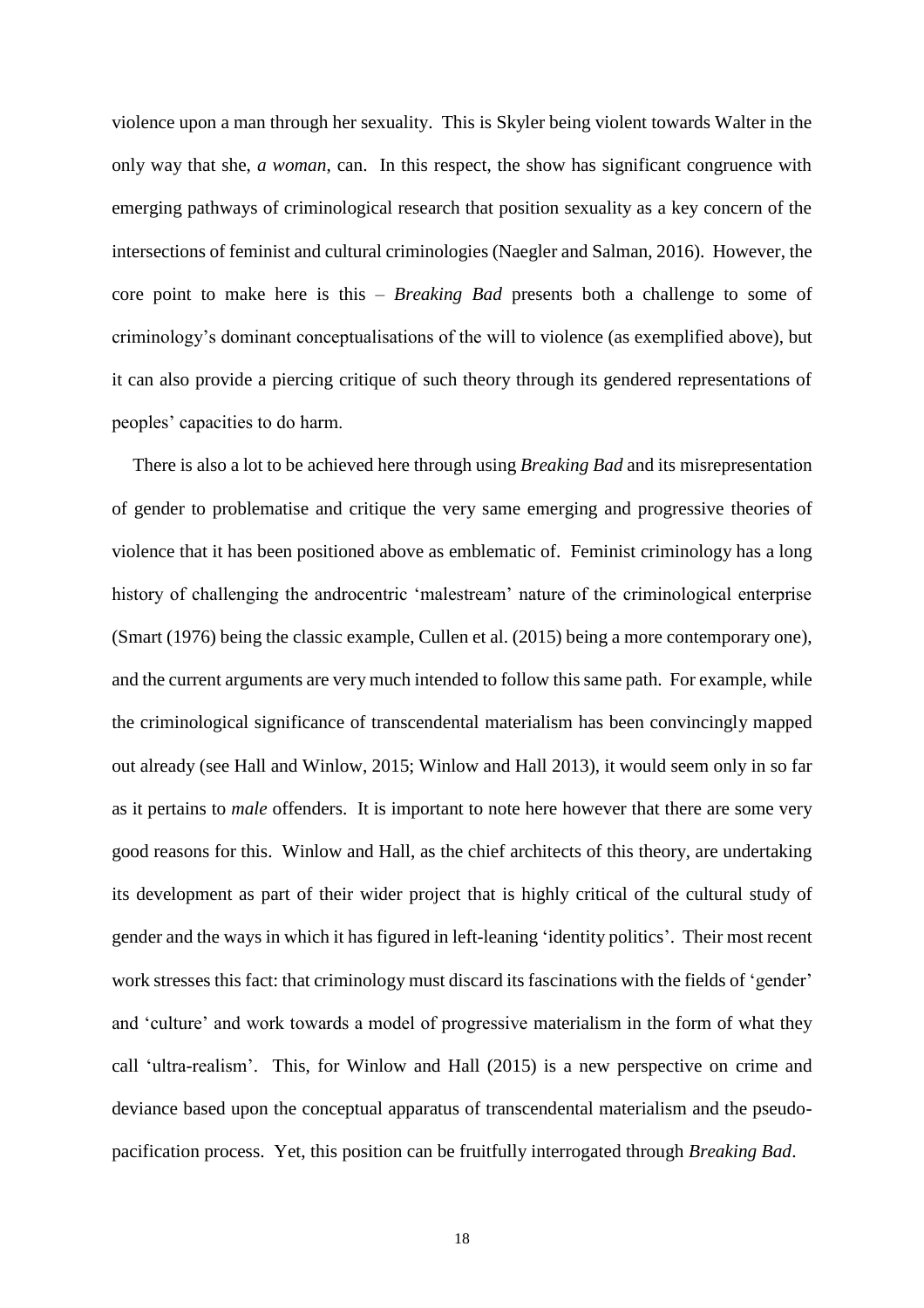violence upon a man through her sexuality. This is Skyler being violent towards Walter in the only way that she, *a woman*, can. In this respect, the show has significant congruence with emerging pathways of criminological research that position sexuality as a key concern of the intersections of feminist and cultural criminologies (Naegler and Salman, 2016). However, the core point to make here is this – *Breaking Bad* presents both a challenge to some of criminology's dominant conceptualisations of the will to violence (as exemplified above), but it can also provide a piercing critique of such theory through its gendered representations of peoples' capacities to do harm.

There is also a lot to be achieved here through using *Breaking Bad* and its misrepresentation of gender to problematise and critique the very same emerging and progressive theories of violence that it has been positioned above as emblematic of. Feminist criminology has a long history of challenging the androcentric 'malestream' nature of the criminological enterprise (Smart (1976) being the classic example, Cullen et al. (2015) being a more contemporary one), and the current arguments are very much intended to follow this same path. For example, while the criminological significance of transcendental materialism has been convincingly mapped out already (see Hall and Winlow, 2015; Winlow and Hall 2013), it would seem only in so far as it pertains to *male* offenders. It is important to note here however that there are some very good reasons for this. Winlow and Hall, as the chief architects of this theory, are undertaking its development as part of their wider project that is highly critical of the cultural study of gender and the ways in which it has figured in left-leaning 'identity politics'. Their most recent work stresses this fact: that criminology must discard its fascinations with the fields of 'gender' and 'culture' and work towards a model of progressive materialism in the form of what they call 'ultra-realism'. This, for Winlow and Hall (2015) is a new perspective on crime and deviance based upon the conceptual apparatus of transcendental materialism and the pseudopacification process. Yet, this position can be fruitfully interrogated through *Breaking Bad*.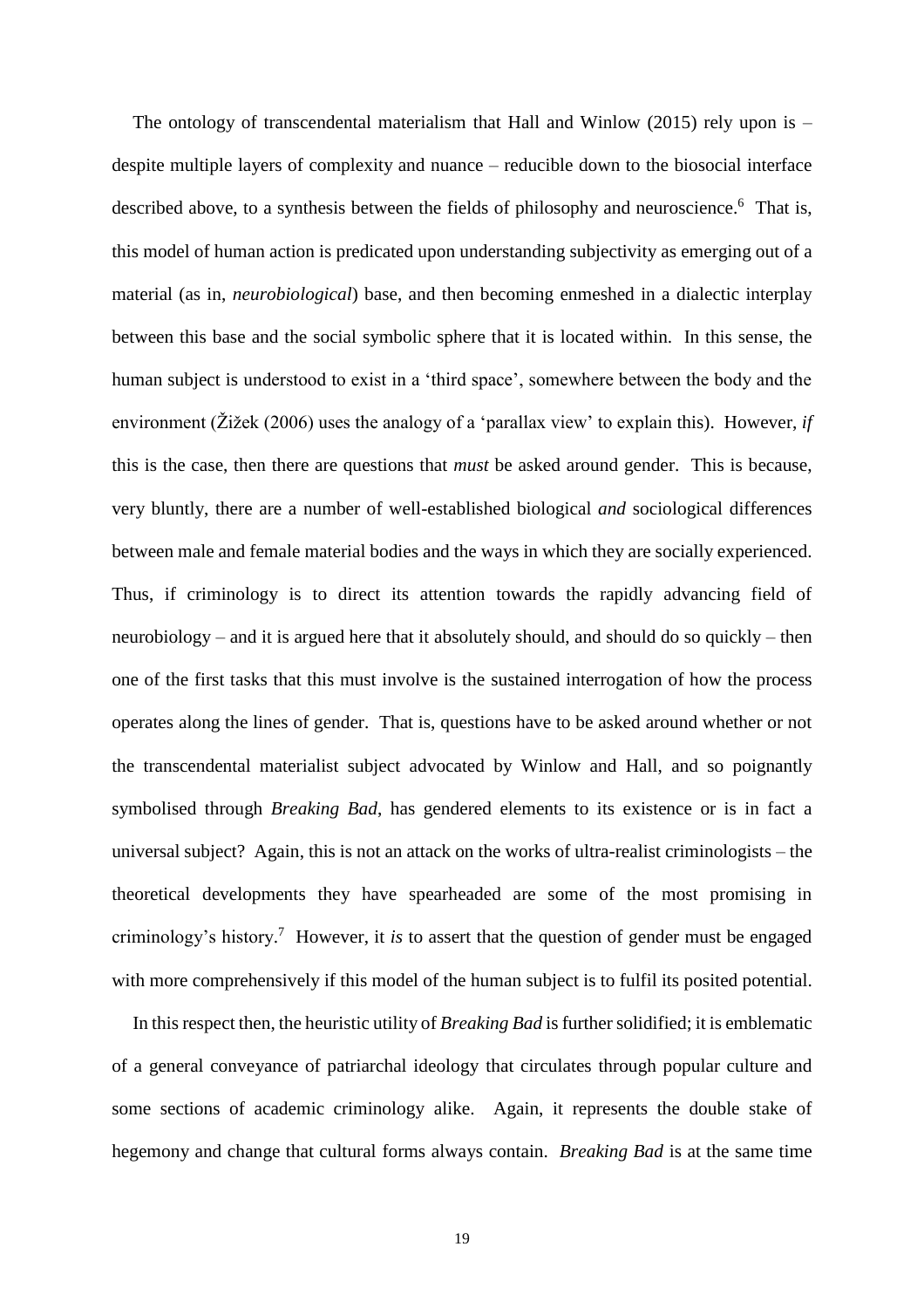The ontology of transcendental materialism that Hall and Winlow  $(2015)$  rely upon is – despite multiple layers of complexity and nuance – reducible down to the biosocial interface described above, to a synthesis between the fields of philosophy and neuroscience.<sup>6</sup> That is, this model of human action is predicated upon understanding subjectivity as emerging out of a material (as in, *neurobiological*) base, and then becoming enmeshed in a dialectic interplay between this base and the social symbolic sphere that it is located within. In this sense, the human subject is understood to exist in a 'third space', somewhere between the body and the environment (Žižek (2006) uses the analogy of a 'parallax view' to explain this). However, *if* this is the case, then there are questions that *must* be asked around gender. This is because, very bluntly, there are a number of well-established biological *and* sociological differences between male and female material bodies and the ways in which they are socially experienced. Thus, if criminology is to direct its attention towards the rapidly advancing field of neurobiology – and it is argued here that it absolutely should, and should do so quickly – then one of the first tasks that this must involve is the sustained interrogation of how the process operates along the lines of gender. That is, questions have to be asked around whether or not the transcendental materialist subject advocated by Winlow and Hall, and so poignantly symbolised through *Breaking Bad*, has gendered elements to its existence or is in fact a universal subject? Again, this is not an attack on the works of ultra-realist criminologists – the theoretical developments they have spearheaded are some of the most promising in criminology's history. 7 However, it *is* to assert that the question of gender must be engaged with more comprehensively if this model of the human subject is to fulfil its posited potential.

In this respect then, the heuristic utility of *Breaking Bad* is further solidified; it is emblematic of a general conveyance of patriarchal ideology that circulates through popular culture and some sections of academic criminology alike. Again, it represents the double stake of hegemony and change that cultural forms always contain. *Breaking Bad* is at the same time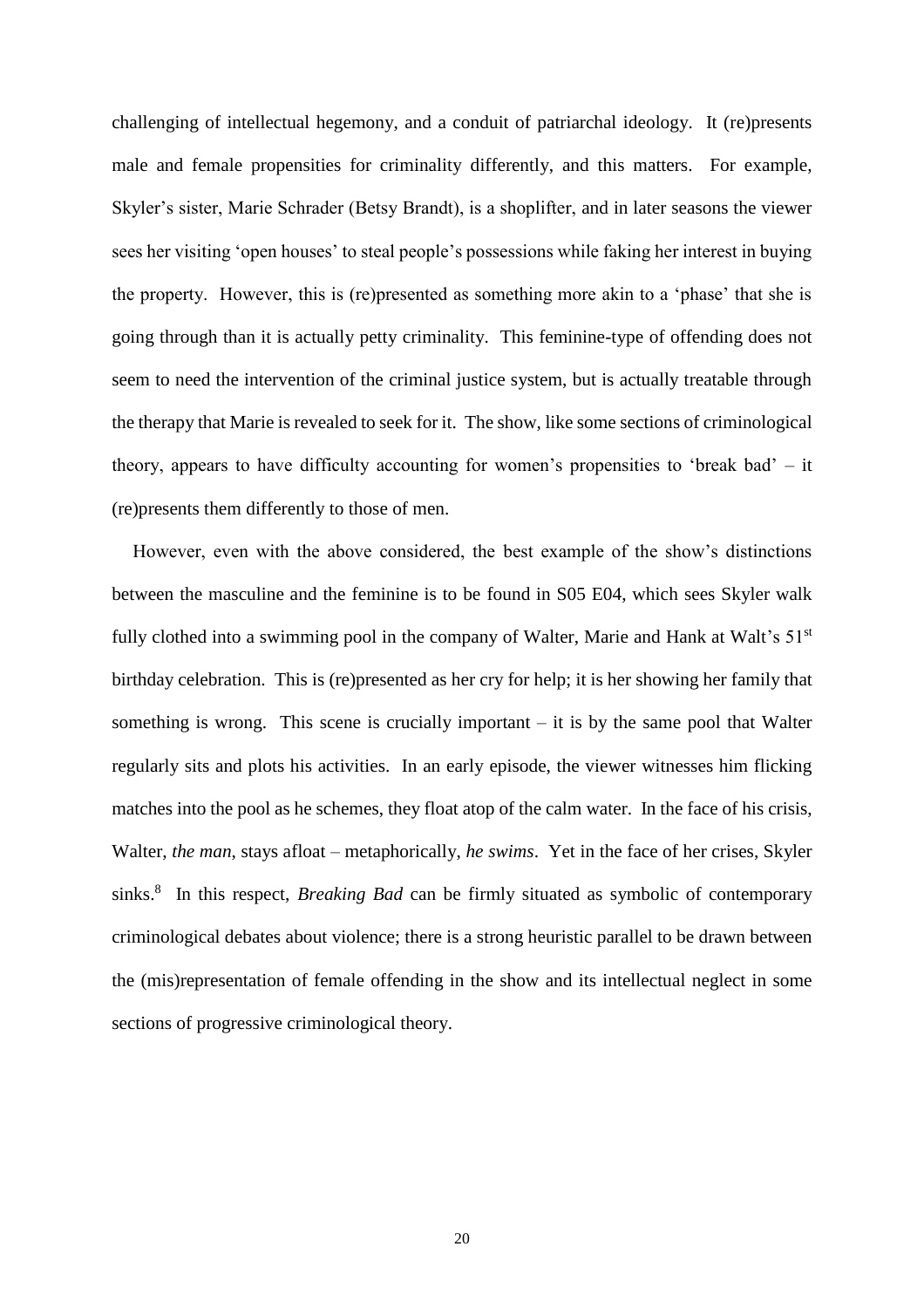challenging of intellectual hegemony, and a conduit of patriarchal ideology. It (re)presents male and female propensities for criminality differently, and this matters. For example, Skyler's sister, Marie Schrader (Betsy Brandt), is a shoplifter, and in later seasons the viewer sees her visiting 'open houses' to steal people's possessions while faking her interest in buying the property. However, this is (re)presented as something more akin to a 'phase' that she is going through than it is actually petty criminality. This feminine-type of offending does not seem to need the intervention of the criminal justice system, but is actually treatable through the therapy that Marie is revealed to seek for it. The show, like some sections of criminological theory, appears to have difficulty accounting for women's propensities to 'break bad'  $-$  it (re)presents them differently to those of men.

However, even with the above considered, the best example of the show's distinctions between the masculine and the feminine is to be found in S05 E04, which sees Skyler walk fully clothed into a swimming pool in the company of Walter, Marie and Hank at Walt's 51<sup>st</sup> birthday celebration. This is (re)presented as her cry for help; it is her showing her family that something is wrong. This scene is crucially important  $-$  it is by the same pool that Walter regularly sits and plots his activities. In an early episode, the viewer witnesses him flicking matches into the pool as he schemes, they float atop of the calm water. In the face of his crisis, Walter, *the man*, stays afloat – metaphorically, *he swims*. Yet in the face of her crises, Skyler sinks. 8 In this respect, *Breaking Bad* can be firmly situated as symbolic of contemporary criminological debates about violence; there is a strong heuristic parallel to be drawn between the (mis)representation of female offending in the show and its intellectual neglect in some sections of progressive criminological theory.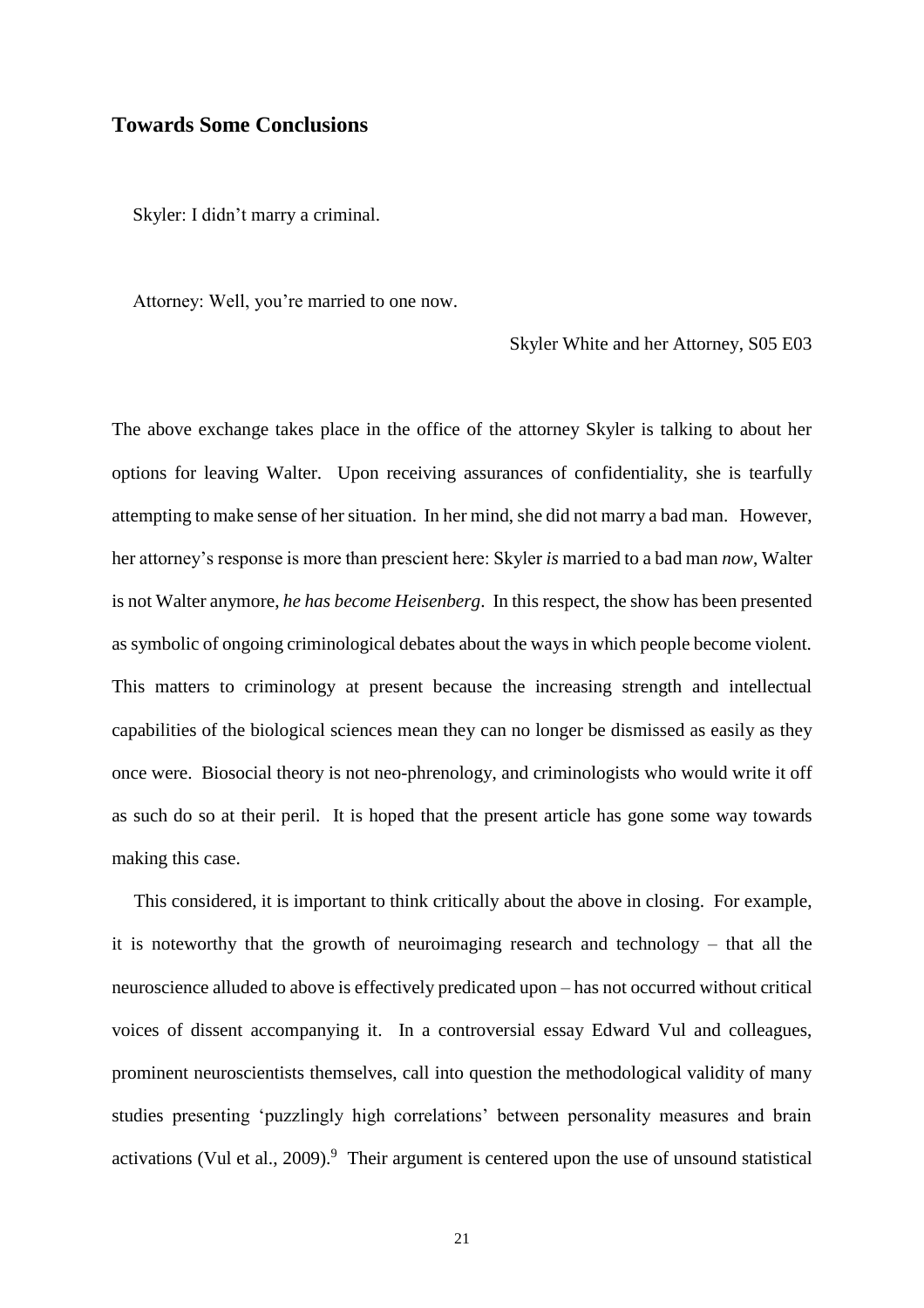## **Towards Some Conclusions**

Skyler: I didn't marry a criminal.

Attorney: Well, you're married to one now.

Skyler White and her Attorney, S05 E03

The above exchange takes place in the office of the attorney Skyler is talking to about her options for leaving Walter. Upon receiving assurances of confidentiality, she is tearfully attempting to make sense of her situation. In her mind, she did not marry a bad man. However, her attorney's response is more than prescient here: Skyler *is* married to a bad man *now*, Walter is not Walter anymore, *he has become Heisenberg*. In this respect, the show has been presented as symbolic of ongoing criminological debates about the ways in which people become violent. This matters to criminology at present because the increasing strength and intellectual capabilities of the biological sciences mean they can no longer be dismissed as easily as they once were. Biosocial theory is not neo-phrenology, and criminologists who would write it off as such do so at their peril. It is hoped that the present article has gone some way towards making this case.

This considered, it is important to think critically about the above in closing. For example, it is noteworthy that the growth of neuroimaging research and technology – that all the neuroscience alluded to above is effectively predicated upon – has not occurred without critical voices of dissent accompanying it. In a controversial essay Edward Vul and colleagues, prominent neuroscientists themselves, call into question the methodological validity of many studies presenting 'puzzlingly high correlations' between personality measures and brain activations (Vul et al., 2009).<sup>9</sup> Their argument is centered upon the use of unsound statistical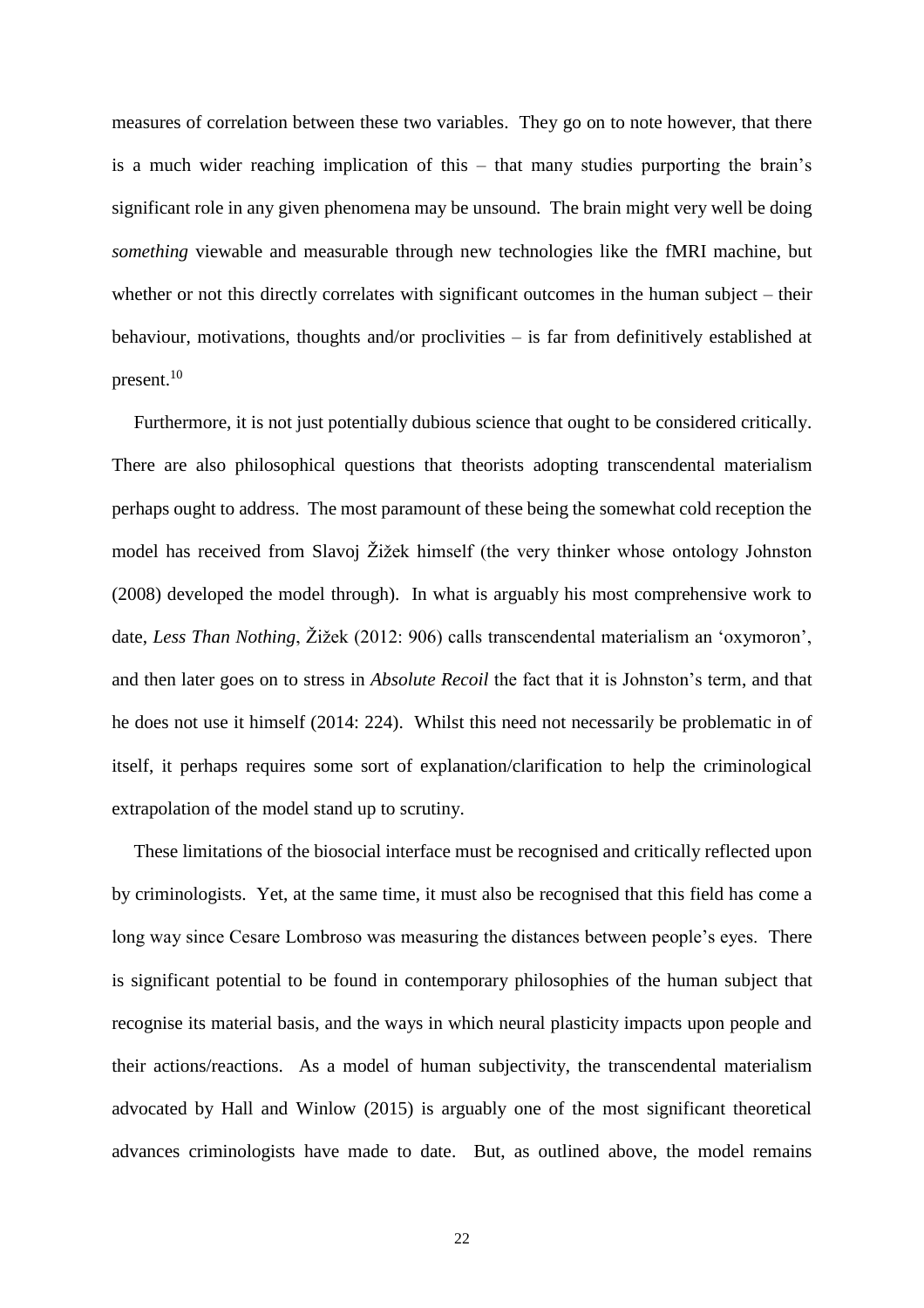measures of correlation between these two variables. They go on to note however, that there is a much wider reaching implication of this – that many studies purporting the brain's significant role in any given phenomena may be unsound. The brain might very well be doing *something* viewable and measurable through new technologies like the fMRI machine, but whether or not this directly correlates with significant outcomes in the human subject – their behaviour, motivations, thoughts and/or proclivities – is far from definitively established at present.<sup>10</sup>

Furthermore, it is not just potentially dubious science that ought to be considered critically. There are also philosophical questions that theorists adopting transcendental materialism perhaps ought to address. The most paramount of these being the somewhat cold reception the model has received from Slavoj Žižek himself (the very thinker whose ontology Johnston (2008) developed the model through). In what is arguably his most comprehensive work to date, *Less Than Nothing*, Žižek (2012: 906) calls transcendental materialism an 'oxymoron', and then later goes on to stress in *Absolute Recoil* the fact that it is Johnston's term, and that he does not use it himself (2014: 224). Whilst this need not necessarily be problematic in of itself, it perhaps requires some sort of explanation/clarification to help the criminological extrapolation of the model stand up to scrutiny.

These limitations of the biosocial interface must be recognised and critically reflected upon by criminologists. Yet, at the same time, it must also be recognised that this field has come a long way since Cesare Lombroso was measuring the distances between people's eyes. There is significant potential to be found in contemporary philosophies of the human subject that recognise its material basis, and the ways in which neural plasticity impacts upon people and their actions/reactions. As a model of human subjectivity, the transcendental materialism advocated by Hall and Winlow (2015) is arguably one of the most significant theoretical advances criminologists have made to date. But, as outlined above, the model remains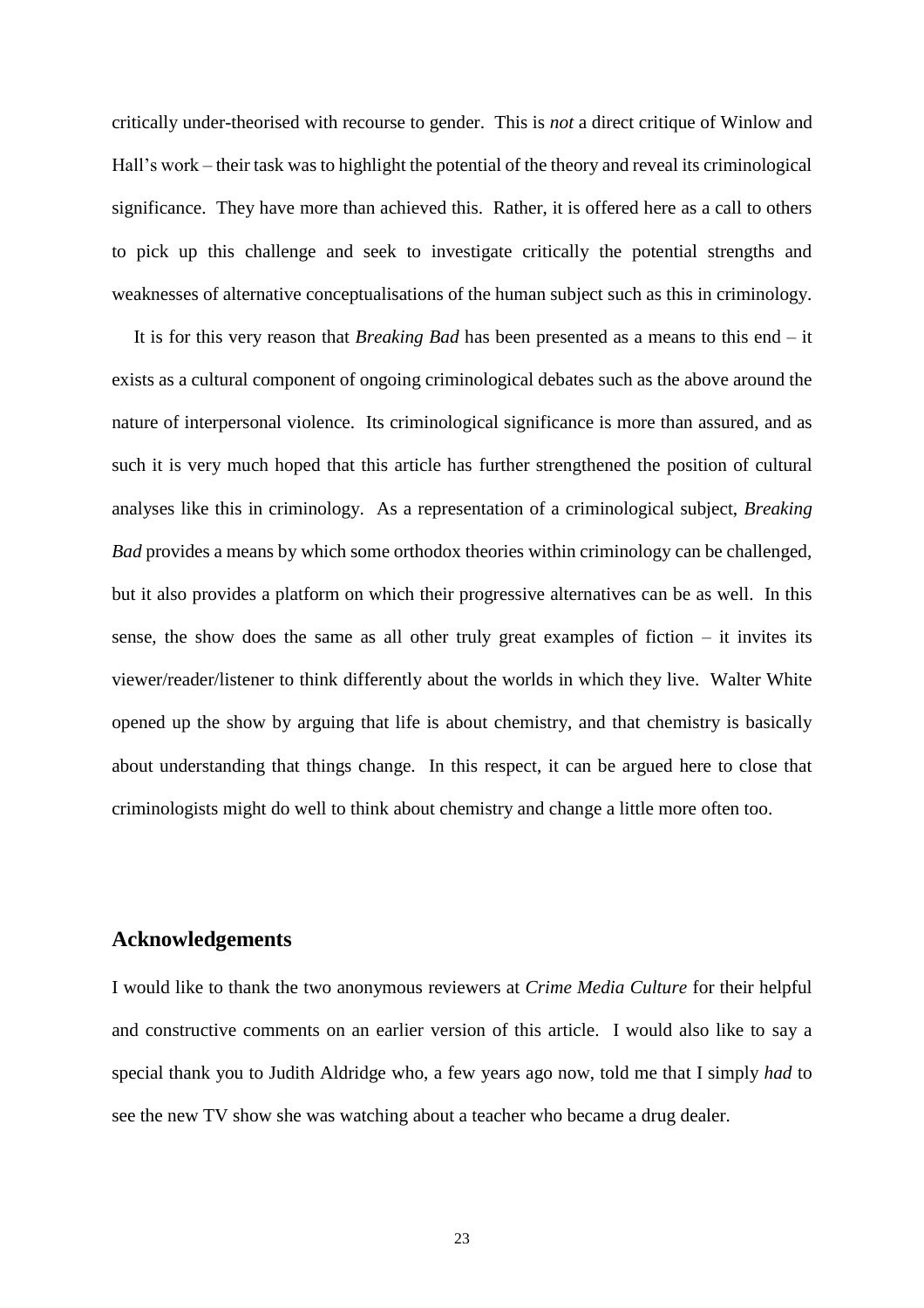critically under-theorised with recourse to gender. This is *not* a direct critique of Winlow and Hall's work – their task was to highlight the potential of the theory and reveal its criminological significance. They have more than achieved this. Rather, it is offered here as a call to others to pick up this challenge and seek to investigate critically the potential strengths and weaknesses of alternative conceptualisations of the human subject such as this in criminology.

It is for this very reason that *Breaking Bad* has been presented as a means to this end – it exists as a cultural component of ongoing criminological debates such as the above around the nature of interpersonal violence. Its criminological significance is more than assured, and as such it is very much hoped that this article has further strengthened the position of cultural analyses like this in criminology. As a representation of a criminological subject, *Breaking Bad* provides a means by which some orthodox theories within criminology can be challenged, but it also provides a platform on which their progressive alternatives can be as well. In this sense, the show does the same as all other truly great examples of fiction  $-$  it invites its viewer/reader/listener to think differently about the worlds in which they live. Walter White opened up the show by arguing that life is about chemistry, and that chemistry is basically about understanding that things change. In this respect, it can be argued here to close that criminologists might do well to think about chemistry and change a little more often too.

## **Acknowledgements**

I would like to thank the two anonymous reviewers at *Crime Media Culture* for their helpful and constructive comments on an earlier version of this article. I would also like to say a special thank you to Judith Aldridge who, a few years ago now, told me that I simply *had* to see the new TV show she was watching about a teacher who became a drug dealer.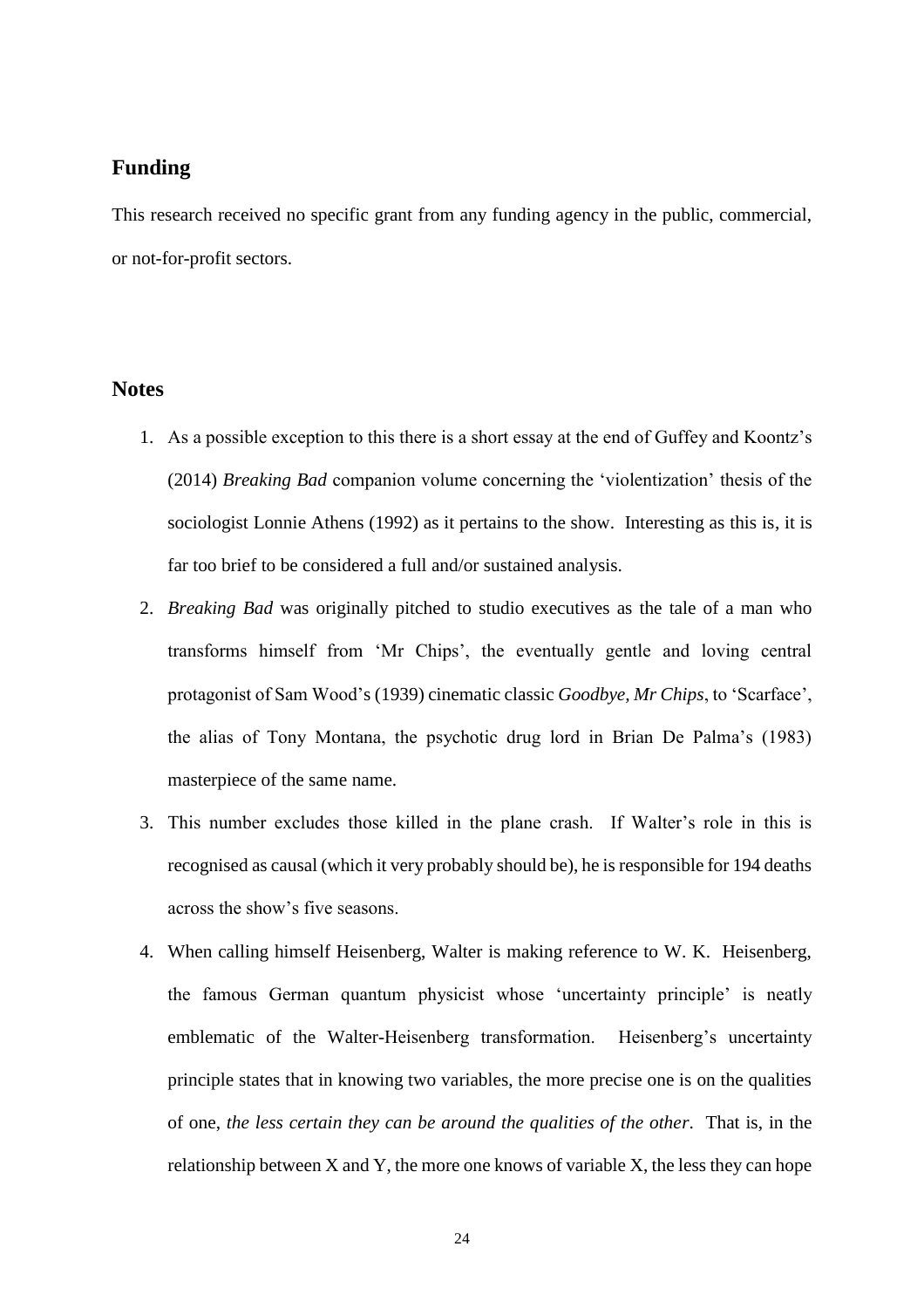## **Funding**

This research received no specific grant from any funding agency in the public, commercial, or not-for-profit sectors.

## **Notes**

- 1. As a possible exception to this there is a short essay at the end of Guffey and Koontz's (2014) *Breaking Bad* companion volume concerning the 'violentization' thesis of the sociologist Lonnie Athens (1992) as it pertains to the show. Interesting as this is, it is far too brief to be considered a full and/or sustained analysis.
- 2. *Breaking Bad* was originally pitched to studio executives as the tale of a man who transforms himself from 'Mr Chips', the eventually gentle and loving central protagonist of Sam Wood's (1939) cinematic classic *Goodbye, Mr Chips*, to 'Scarface', the alias of Tony Montana, the psychotic drug lord in Brian De Palma's (1983) masterpiece of the same name.
- 3. This number excludes those killed in the plane crash. If Walter's role in this is recognised as causal (which it very probably should be), he is responsible for 194 deaths across the show's five seasons.
- 4. When calling himself Heisenberg, Walter is making reference to W. K. Heisenberg, the famous German quantum physicist whose 'uncertainty principle' is neatly emblematic of the Walter-Heisenberg transformation. Heisenberg's uncertainty principle states that in knowing two variables, the more precise one is on the qualities of one, *the less certain they can be around the qualities of the other*. That is, in the relationship between  $X$  and  $Y$ , the more one knows of variable  $X$ , the less they can hope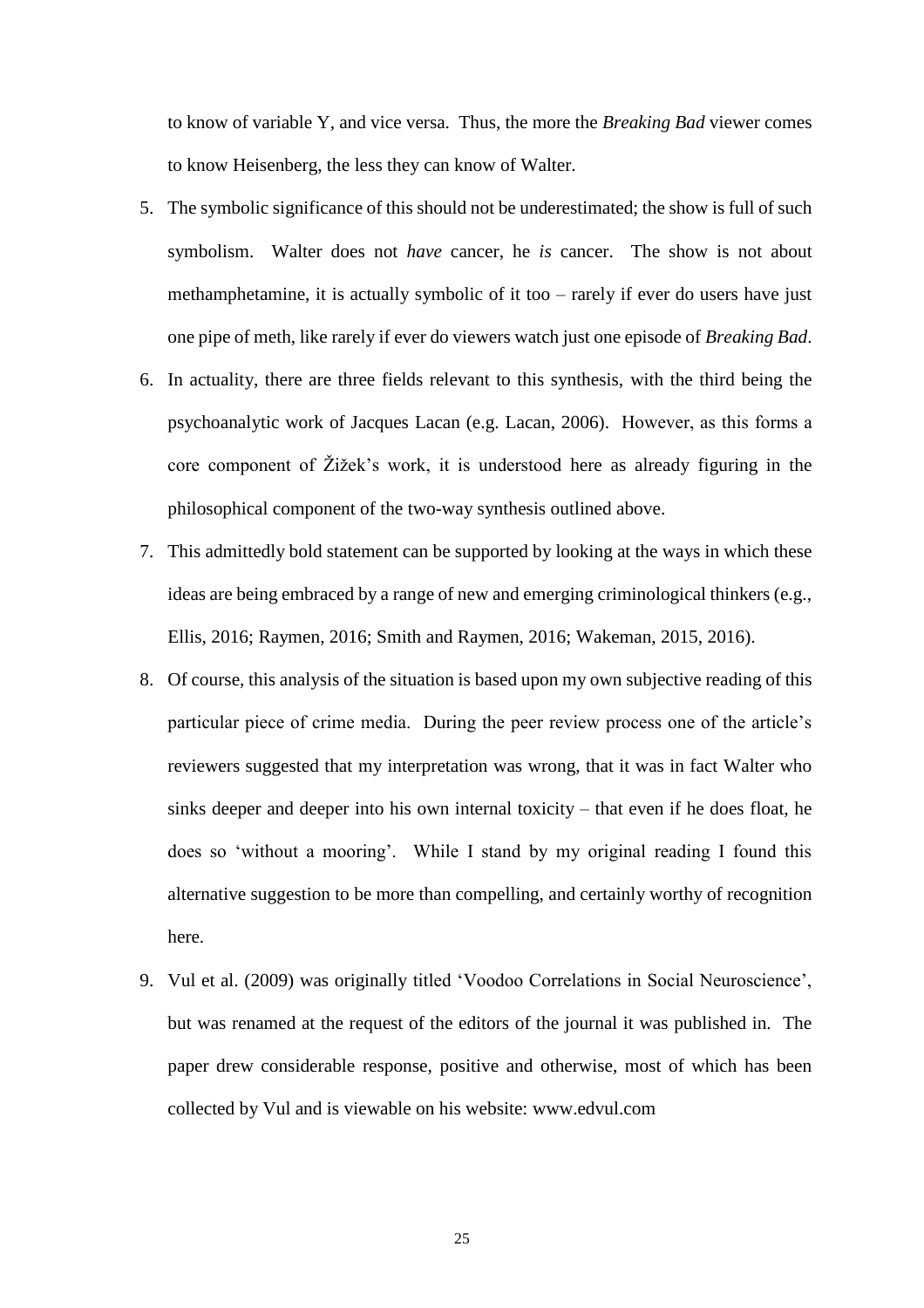to know of variable Y, and vice versa. Thus, the more the *Breaking Bad* viewer comes to know Heisenberg, the less they can know of Walter.

- 5. The symbolic significance of this should not be underestimated; the show is full of such symbolism. Walter does not *have* cancer, he *is* cancer. The show is not about methamphetamine, it is actually symbolic of it too – rarely if ever do users have just one pipe of meth, like rarely if ever do viewers watch just one episode of *Breaking Bad*.
- 6. In actuality, there are three fields relevant to this synthesis, with the third being the psychoanalytic work of Jacques Lacan (e.g. Lacan, 2006). However, as this forms a core component of Žižek's work, it is understood here as already figuring in the philosophical component of the two-way synthesis outlined above.
- 7. This admittedly bold statement can be supported by looking at the ways in which these ideas are being embraced by a range of new and emerging criminological thinkers (e.g., Ellis, 2016; Raymen, 2016; Smith and Raymen, 2016; Wakeman, 2015, 2016).
- 8. Of course, this analysis of the situation is based upon my own subjective reading of this particular piece of crime media. During the peer review process one of the article's reviewers suggested that my interpretation was wrong, that it was in fact Walter who sinks deeper and deeper into his own internal toxicity – that even if he does float, he does so 'without a mooring'. While I stand by my original reading I found this alternative suggestion to be more than compelling, and certainly worthy of recognition here.
- 9. Vul et al. (2009) was originally titled 'Voodoo Correlations in Social Neuroscience', but was renamed at the request of the editors of the journal it was published in. The paper drew considerable response, positive and otherwise, most of which has been collected by Vul and is viewable on his website: www.edvul.com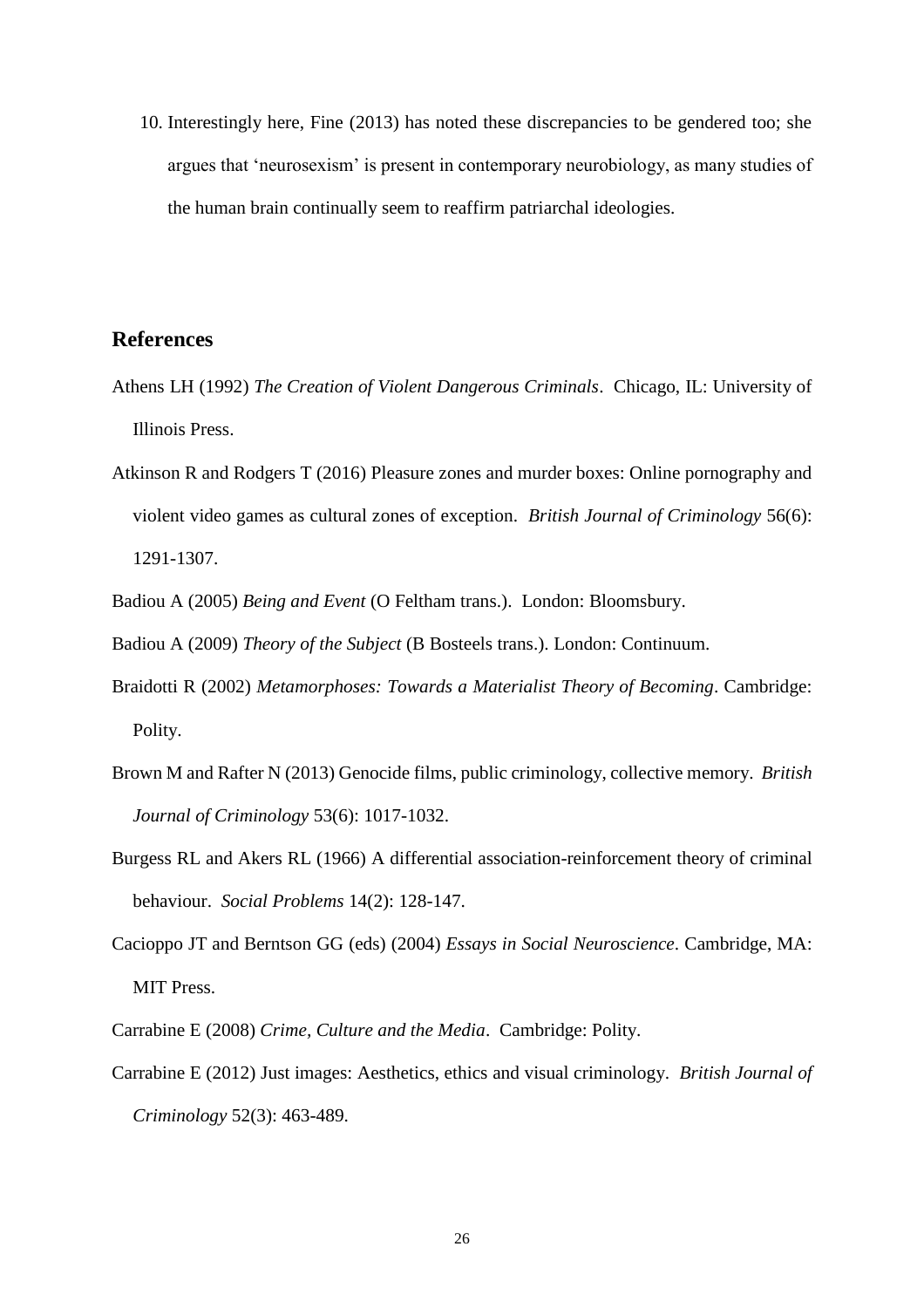10. Interestingly here, Fine (2013) has noted these discrepancies to be gendered too; she argues that 'neurosexism' is present in contemporary neurobiology, as many studies of the human brain continually seem to reaffirm patriarchal ideologies.

## **References**

- Athens LH (1992) *The Creation of Violent Dangerous Criminals*. Chicago, IL: University of Illinois Press.
- Atkinson R and Rodgers T (2016) Pleasure zones and murder boxes: Online pornography and violent video games as cultural zones of exception. *British Journal of Criminology* 56(6): 1291-1307.

Badiou A (2005) *Being and Event* (O Feltham trans.). London: Bloomsbury.

Badiou A (2009) *Theory of the Subject* (B Bosteels trans.). London: Continuum.

- Braidotti R (2002) *Metamorphoses: Towards a Materialist Theory of Becoming*. Cambridge: Polity.
- Brown M and Rafter N (2013) Genocide films, public criminology, collective memory. *British Journal of Criminology* 53(6): 1017-1032.
- Burgess RL and Akers RL (1966) A differential association-reinforcement theory of criminal behaviour. *Social Problems* 14(2): 128-147.
- Cacioppo JT and Berntson GG (eds) (2004) *Essays in Social Neuroscience*. Cambridge, MA: MIT Press.

Carrabine E (2008) *Crime, Culture and the Media*. Cambridge: Polity.

Carrabine E (2012) Just images: Aesthetics, ethics and visual criminology. *British Journal of Criminology* 52(3): 463-489.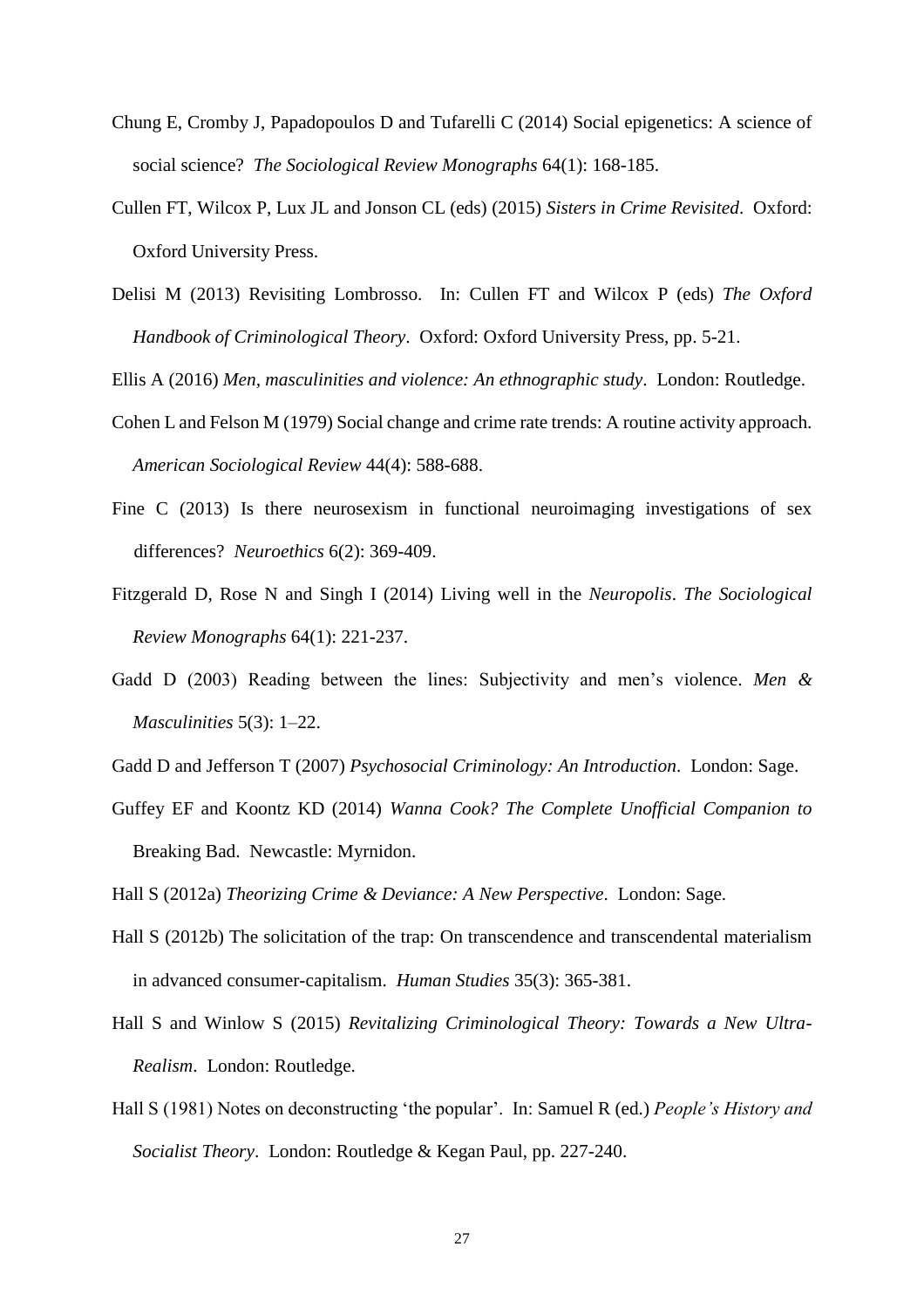- Chung E, Cromby J, Papadopoulos D and Tufarelli C (2014) Social epigenetics: A science of social science? *The Sociological Review Monographs* 64(1): 168-185.
- Cullen FT, Wilcox P, Lux JL and Jonson CL (eds) (2015) *Sisters in Crime Revisited*. Oxford: Oxford University Press.
- Delisi M (2013) Revisiting Lombrosso. In: Cullen FT and Wilcox P (eds) *The Oxford Handbook of Criminological Theory*. Oxford: Oxford University Press, pp. 5-21.

Ellis A (2016) *Men, masculinities and violence: An ethnographic study*. London: Routledge.

- Cohen L and Felson M (1979) Social change and crime rate trends: A routine activity approach. *American Sociological Review* 44(4): 588-688.
- Fine C (2013) Is there neurosexism in functional neuroimaging investigations of sex differences? *Neuroethics* 6(2): 369-409.
- Fitzgerald D, Rose N and Singh I (2014) Living well in the *Neuropolis*. *The Sociological Review Monographs* 64(1): 221-237.
- Gadd D (2003) Reading between the lines: Subjectivity and men's violence. *Men & Masculinities* 5(3): 1–22.
- Gadd D and Jefferson T (2007) *Psychosocial Criminology: An Introduction*. London: Sage.
- Guffey EF and Koontz KD (2014) *Wanna Cook? The Complete Unofficial Companion to*  Breaking Bad. Newcastle: Myrnidon.

Hall S (2012a) *Theorizing Crime & Deviance: A New Perspective*. London: Sage.

- Hall S (2012b) The solicitation of the trap: On transcendence and transcendental materialism in advanced consumer-capitalism. *Human Studies* 35(3): 365-381.
- Hall S and Winlow S (2015) *Revitalizing Criminological Theory: Towards a New Ultra-Realism*. London: Routledge.
- Hall S (1981) Notes on deconstructing 'the popular'. In: Samuel R (ed.) *People's History and Socialist Theory*. London: Routledge & Kegan Paul, pp. 227-240.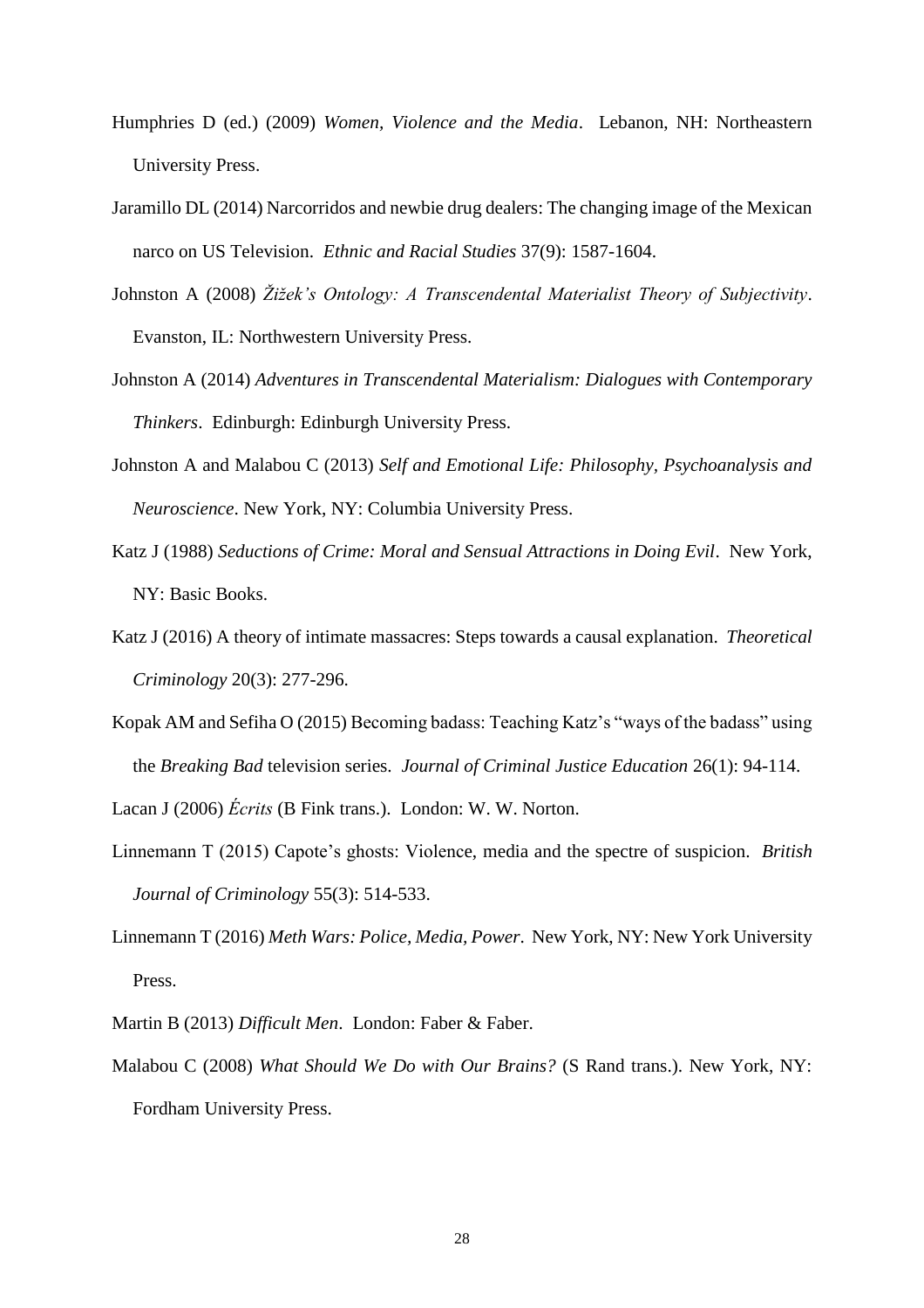- Humphries D (ed.) (2009) *Women, Violence and the Media*. Lebanon, NH: Northeastern University Press.
- Jaramillo DL (2014) Narcorridos and newbie drug dealers: The changing image of the Mexican narco on US Television. *Ethnic and Racial Studies* 37(9): 1587-1604.
- Johnston A (2008) *Žižek's Ontology: A Transcendental Materialist Theory of Subjectivity*. Evanston, IL: Northwestern University Press.
- Johnston A (2014) *Adventures in Transcendental Materialism: Dialogues with Contemporary Thinkers*. Edinburgh: Edinburgh University Press.
- Johnston A and Malabou C (2013) *Self and Emotional Life: Philosophy, Psychoanalysis and Neuroscience*. New York, NY: Columbia University Press.
- Katz J (1988) *Seductions of Crime: Moral and Sensual Attractions in Doing Evil*. New York, NY: Basic Books.
- Katz J (2016) A theory of intimate massacres: Steps towards a causal explanation. *Theoretical Criminology* 20(3): 277-296.
- Kopak AM and Sefiha O (2015) Becoming badass: Teaching Katz's "ways of the badass" using the *Breaking Bad* television series. *Journal of Criminal Justice Education* 26(1): 94-114.
- Lacan J (2006) *Écrits* (B Fink trans.). London: W. W. Norton.
- Linnemann T (2015) Capote's ghosts: Violence, media and the spectre of suspicion. *British Journal of Criminology* 55(3): 514-533.
- Linnemann T (2016) *Meth Wars: Police, Media, Power*. New York, NY: New York University Press.
- Martin B (2013) *Difficult Men*. London: Faber & Faber.
- Malabou C (2008) *What Should We Do with Our Brains?* (S Rand trans.). New York, NY: Fordham University Press.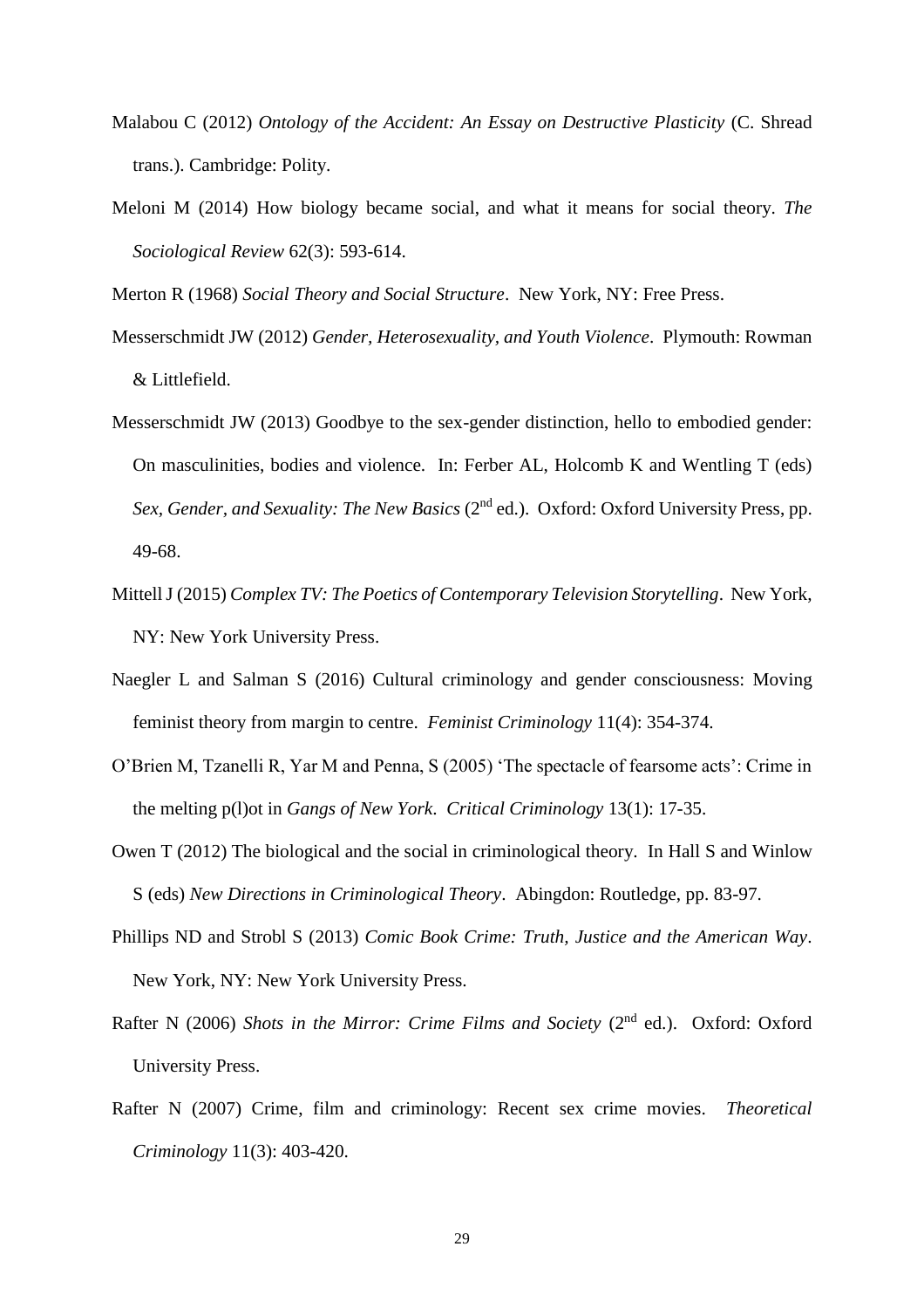- Malabou C (2012) *Ontology of the Accident: An Essay on Destructive Plasticity* (C. Shread trans.). Cambridge: Polity.
- Meloni M (2014) How biology became social, and what it means for social theory. *The Sociological Review* 62(3): 593-614.

Merton R (1968) *Social Theory and Social Structure*. New York, NY: Free Press.

- Messerschmidt JW (2012) *Gender, Heterosexuality, and Youth Violence*. Plymouth: Rowman & Littlefield.
- Messerschmidt JW (2013) Goodbye to the sex-gender distinction, hello to embodied gender: On masculinities, bodies and violence. In: Ferber AL, Holcomb K and Wentling T (eds) *Sex, Gender, and Sexuality: The New Basics* (2<sup>nd</sup> ed.). Oxford: Oxford University Press, pp. 49-68.
- Mittell J (2015) *Complex TV: The Poetics of Contemporary Television Storytelling*. New York, NY: New York University Press.
- Naegler L and Salman S (2016) Cultural criminology and gender consciousness: Moving feminist theory from margin to centre. *Feminist Criminology* 11(4): 354-374.
- O'Brien M, Tzanelli R, Yar M and Penna, S (2005) 'The spectacle of fearsome acts': Crime in the melting p(l)ot in *Gangs of New York*. *Critical Criminology* 13(1): 17-35.
- Owen T (2012) The biological and the social in criminological theory. In Hall S and Winlow S (eds) *New Directions in Criminological Theory*. Abingdon: Routledge, pp. 83-97.
- Phillips ND and Strobl S (2013) *Comic Book Crime: Truth, Justice and the American Way*. New York, NY: New York University Press.
- Rafter N (2006) *Shots in the Mirror: Crime Films and Society* (2nd ed.). Oxford: Oxford University Press.
- Rafter N (2007) Crime, film and criminology: Recent sex crime movies. *Theoretical Criminology* 11(3): 403-420.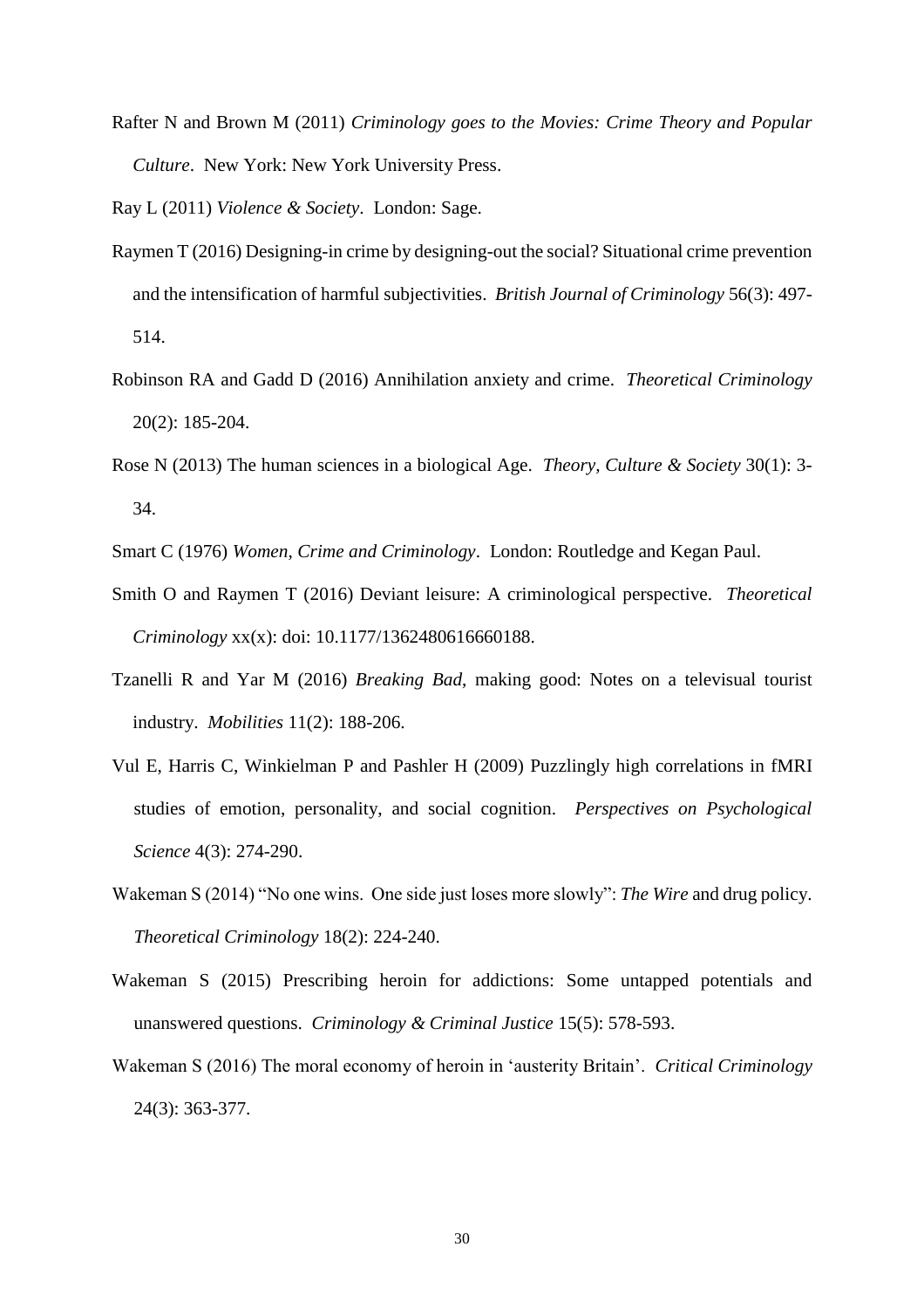Rafter N and Brown M (2011) *Criminology goes to the Movies: Crime Theory and Popular Culture*. New York: New York University Press.

Ray L (2011) *Violence & Society*. London: Sage.

- Raymen T (2016) Designing-in crime by designing-out the social? Situational crime prevention and the intensification of harmful subjectivities. *British Journal of Criminology* 56(3): 497- 514.
- Robinson RA and Gadd D (2016) Annihilation anxiety and crime. *Theoretical Criminology* 20(2): 185-204.
- Rose N (2013) The human sciences in a biological Age. *Theory, Culture & Society* 30(1): 3- 34.

Smart C (1976) *Women, Crime and Criminology*. London: Routledge and Kegan Paul.

- Smith O and Raymen T (2016) Deviant leisure: A criminological perspective. *Theoretical Criminology* xx(x): doi: 10.1177/1362480616660188.
- Tzanelli R and Yar M (2016) *Breaking Bad*, making good: Notes on a televisual tourist industry. *Mobilities* 11(2): 188-206.
- Vul E, Harris C, Winkielman P and Pashler H (2009) Puzzlingly high correlations in fMRI studies of emotion, personality, and social cognition. *Perspectives on Psychological Science* 4(3): 274-290.
- Wakeman S (2014) "No one wins. One side just loses more slowly": *The Wire* and drug policy. *Theoretical Criminology* 18(2): 224-240.
- Wakeman S (2015) Prescribing heroin for addictions: Some untapped potentials and unanswered questions. *Criminology & Criminal Justice* 15(5): 578-593.
- Wakeman S (2016) The moral economy of heroin in 'austerity Britain'. *Critical Criminology* 24(3): 363-377.